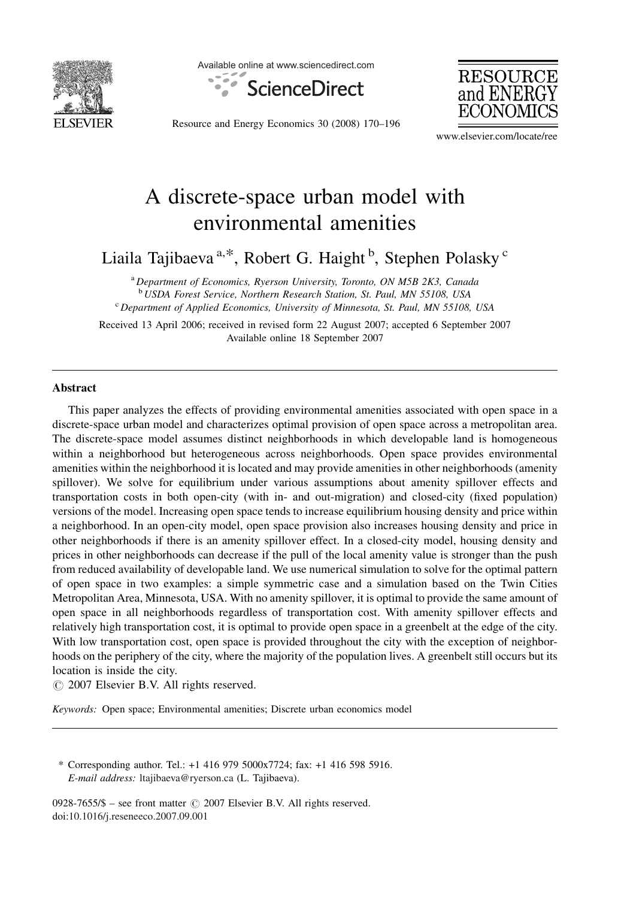

Available online at www.sciencedirect.com





Resource and Energy Economics 30 (2008) 170–196

www.elsevier.com/locate/ree

# A discrete-space urban model with environmental amenities

Liaila Tajibaeva<sup>a,\*</sup>, Robert G. Haight <sup>b</sup>, Stephen Polasky <sup>c</sup>

<sup>a</sup> Department of Economics, Ryerson University, Toronto, ON M5B 2K3, Canada<br><sup>b</sup> USDA Forest Service, Northern Research Station, St. Paul, MN 55108, USA  $\degree$  Department of Applied Economics, University of Minnesota, St. Paul, MN 55108, USA

Received 13 April 2006; received in revised form 22 August 2007; accepted 6 September 2007 Available online 18 September 2007

#### Abstract

This paper analyzes the effects of providing environmental amenities associated with open space in a discrete-space urban model and characterizes optimal provision of open space across a metropolitan area. The discrete-space model assumes distinct neighborhoods in which developable land is homogeneous within a neighborhood but heterogeneous across neighborhoods. Open space provides environmental amenities within the neighborhood it is located and may provide amenities in other neighborhoods (amenity spillover). We solve for equilibrium under various assumptions about amenity spillover effects and transportation costs in both open-city (with in- and out-migration) and closed-city (fixed population) versions of the model. Increasing open space tends to increase equilibrium housing density and price within a neighborhood. In an open-city model, open space provision also increases housing density and price in other neighborhoods if there is an amenity spillover effect. In a closed-city model, housing density and prices in other neighborhoods can decrease if the pull of the local amenity value is stronger than the push from reduced availability of developable land. We use numerical simulation to solve for the optimal pattern of open space in two examples: a simple symmetric case and a simulation based on the Twin Cities Metropolitan Area, Minnesota, USA. With no amenity spillover, it is optimal to provide the same amount of open space in all neighborhoods regardless of transportation cost. With amenity spillover effects and relatively high transportation cost, it is optimal to provide open space in a greenbelt at the edge of the city. With low transportation cost, open space is provided throughout the city with the exception of neighborhoods on the periphery of the city, where the majority of the population lives. A greenbelt still occurs but its location is inside the city.

 $\odot$  2007 Elsevier B.V. All rights reserved.

Keywords: Open space; Environmental amenities; Discrete urban economics model

\* Corresponding author. Tel.: +1 416 979 5000x7724; fax: +1 416 598 5916. E-mail address: [ltajibaeva@ryerson.ca](mailto:ltajibaeva@ryerson.ca) (L. Tajibaeva).

0928-7655/\$ – see front matter  $\odot$  2007 Elsevier B.V. All rights reserved. doi[:10.1016/j.reseneeco.2007.09.001](http://dx.doi.org/10.1016/j.reseneeco.2007.09.001)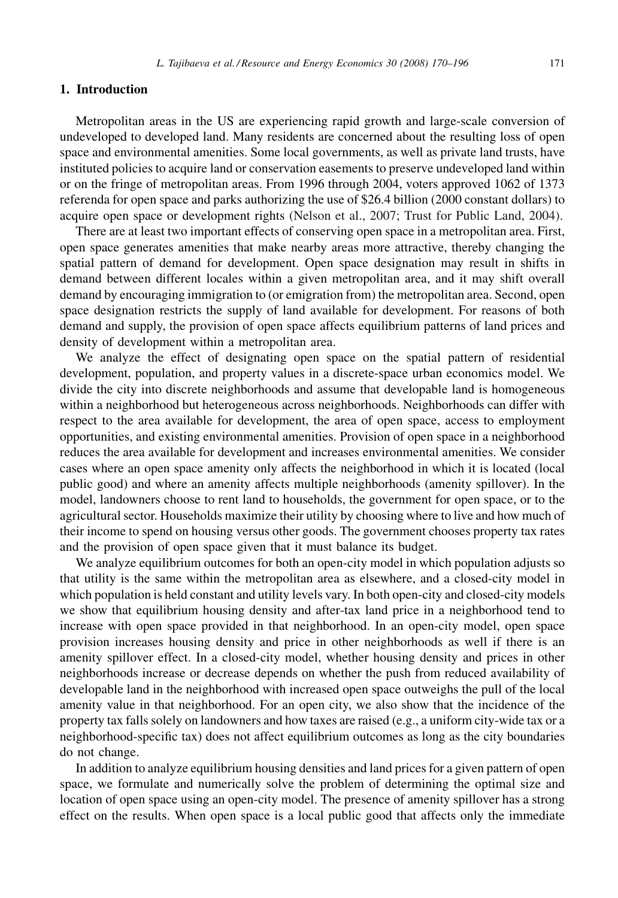#### 1. Introduction

Metropolitan areas in the US are experiencing rapid growth and large-scale conversion of undeveloped to developed land. Many residents are concerned about the resulting loss of open space and environmental amenities. Some local governments, as well as private land trusts, have instituted policies to acquire land or conservation easements to preserve undeveloped land within or on the fringe of metropolitan areas. From 1996 through 2004, voters approved 1062 of 1373 referenda for open space and parks authorizing the use of \$26.4 billion (2000 constant dollars) to acquire open space or development rights [\(Nelson et al., 2007; Trust for Public Land, 2004\).](#page-26-0)

There are at least two important effects of conserving open space in a metropolitan area. First, open space generates amenities that make nearby areas more attractive, thereby changing the spatial pattern of demand for development. Open space designation may result in shifts in demand between different locales within a given metropolitan area, and it may shift overall demand by encouraging immigration to (or emigration from) the metropolitan area. Second, open space designation restricts the supply of land available for development. For reasons of both demand and supply, the provision of open space affects equilibrium patterns of land prices and density of development within a metropolitan area.

We analyze the effect of designating open space on the spatial pattern of residential development, population, and property values in a discrete-space urban economics model. We divide the city into discrete neighborhoods and assume that developable land is homogeneous within a neighborhood but heterogeneous across neighborhoods. Neighborhoods can differ with respect to the area available for development, the area of open space, access to employment opportunities, and existing environmental amenities. Provision of open space in a neighborhood reduces the area available for development and increases environmental amenities. We consider cases where an open space amenity only affects the neighborhood in which it is located (local public good) and where an amenity affects multiple neighborhoods (amenity spillover). In the model, landowners choose to rent land to households, the government for open space, or to the agricultural sector. Households maximize their utility by choosing where to live and how much of their income to spend on housing versus other goods. The government chooses property tax rates and the provision of open space given that it must balance its budget.

We analyze equilibrium outcomes for both an open-city model in which population adjusts so that utility is the same within the metropolitan area as elsewhere, and a closed-city model in which population is held constant and utility levels vary. In both open-city and closed-city models we show that equilibrium housing density and after-tax land price in a neighborhood tend to increase with open space provided in that neighborhood. In an open-city model, open space provision increases housing density and price in other neighborhoods as well if there is an amenity spillover effect. In a closed-city model, whether housing density and prices in other neighborhoods increase or decrease depends on whether the push from reduced availability of developable land in the neighborhood with increased open space outweighs the pull of the local amenity value in that neighborhood. For an open city, we also show that the incidence of the property tax falls solely on landowners and how taxes are raised (e.g., a uniform city-wide tax or a neighborhood-specific tax) does not affect equilibrium outcomes as long as the city boundaries do not change.

In addition to analyze equilibrium housing densities and land prices for a given pattern of open space, we formulate and numerically solve the problem of determining the optimal size and location of open space using an open-city model. The presence of amenity spillover has a strong effect on the results. When open space is a local public good that affects only the immediate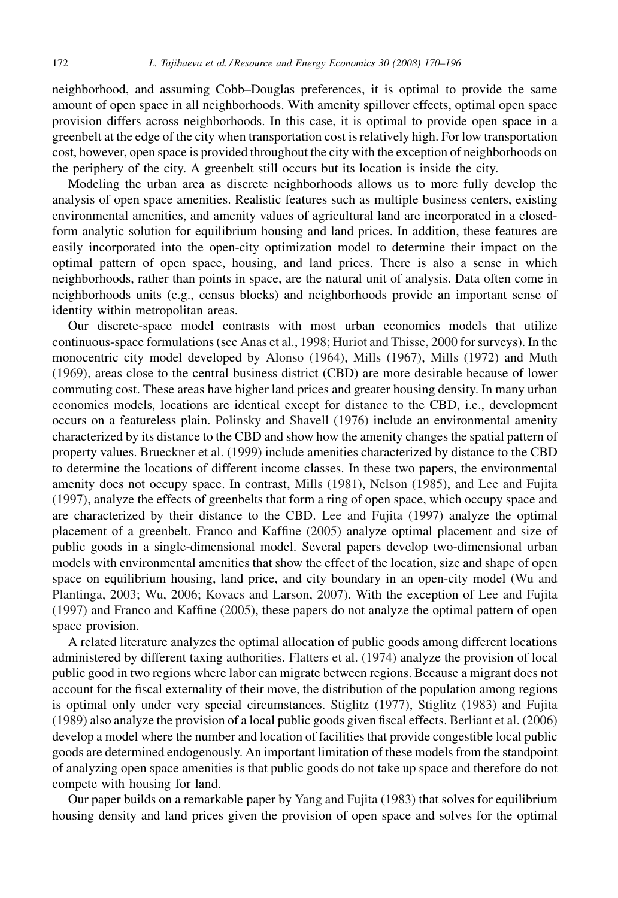neighborhood, and assuming Cobb–Douglas preferences, it is optimal to provide the same amount of open space in all neighborhoods. With amenity spillover effects, optimal open space provision differs across neighborhoods. In this case, it is optimal to provide open space in a greenbelt at the edge of the city when transportation cost is relatively high. For low transportation cost, however, open space is provided throughout the city with the exception of neighborhoods on the periphery of the city. A greenbelt still occurs but its location is inside the city.

Modeling the urban area as discrete neighborhoods allows us to more fully develop the analysis of open space amenities. Realistic features such as multiple business centers, existing environmental amenities, and amenity values of agricultural land are incorporated in a closedform analytic solution for equilibrium housing and land prices. In addition, these features are easily incorporated into the open-city optimization model to determine their impact on the optimal pattern of open space, housing, and land prices. There is also a sense in which neighborhoods, rather than points in space, are the natural unit of analysis. Data often come in neighborhoods units (e.g., census blocks) and neighborhoods provide an important sense of identity within metropolitan areas.

Our discrete-space model contrasts with most urban economics models that utilize continuous-space formulations (see [Anas et al., 1998; Huriot and Thisse, 2000](#page-25-0) for surveys). In the monocentric city model developed by [Alonso \(1964\),](#page-25-0) [Mills \(1967\)](#page-26-0), [Mills \(1972\)](#page-26-0) and [Muth](#page-26-0) [\(1969\)](#page-26-0), areas close to the central business district (CBD) are more desirable because of lower commuting cost. These areas have higher land prices and greater housing density. In many urban economics models, locations are identical except for distance to the CBD, i.e., development occurs on a featureless plain. [Polinsky and Shavell \(1976\)](#page-26-0) include an environmental amenity characterized by its distance to the CBD and show how the amenity changes the spatial pattern of property values. [Brueckner et al. \(1999\)](#page-25-0) include amenities characterized by distance to the CBD to determine the locations of different income classes. In these two papers, the environmental amenity does not occupy space. In contrast, [Mills \(1981\)](#page-26-0), [Nelson \(1985\),](#page-26-0) and [Lee and Fujita](#page-26-0) [\(1997\)](#page-26-0), analyze the effects of greenbelts that form a ring of open space, which occupy space and are characterized by their distance to the CBD. [Lee and Fujita \(1997\)](#page-26-0) analyze the optimal placement of a greenbelt. [Franco and Kaffine \(2005\)](#page-25-0) analyze optimal placement and size of public goods in a single-dimensional model. Several papers develop two-dimensional urban models with environmental amenities that show the effect of the location, size and shape of open space on equilibrium housing, land price, and city boundary in an open-city model [\(Wu and](#page-26-0) [Plantinga, 2003; Wu, 2006; Kovacs and Larson, 2007\).](#page-26-0) With the exception of [Lee and Fujita](#page-26-0) [\(1997\)](#page-26-0) and [Franco and Kaffine \(2005\)](#page-25-0), these papers do not analyze the optimal pattern of open space provision.

A related literature analyzes the optimal allocation of public goods among different locations administered by different taxing authorities. [Flatters et al. \(1974\)](#page-25-0) analyze the provision of local public good in two regions where labor can migrate between regions. Because a migrant does not account for the fiscal externality of their move, the distribution of the population among regions is optimal only under very special circumstances. [Stiglitz \(1977\)](#page-26-0), [Stiglitz \(1983\)](#page-26-0) and [Fujita](#page-25-0) [\(1989\)](#page-25-0) also analyze the provision of a local public goods given fiscal effects. [Berliant et al. \(2006\)](#page-25-0) develop a model where the number and location of facilities that provide congestible local public goods are determined endogenously. An important limitation of these models from the standpoint of analyzing open space amenities is that public goods do not take up space and therefore do not compete with housing for land.

Our paper builds on a remarkable paper by [Yang and Fujita \(1983\)](#page-26-0) that solves for equilibrium housing density and land prices given the provision of open space and solves for the optimal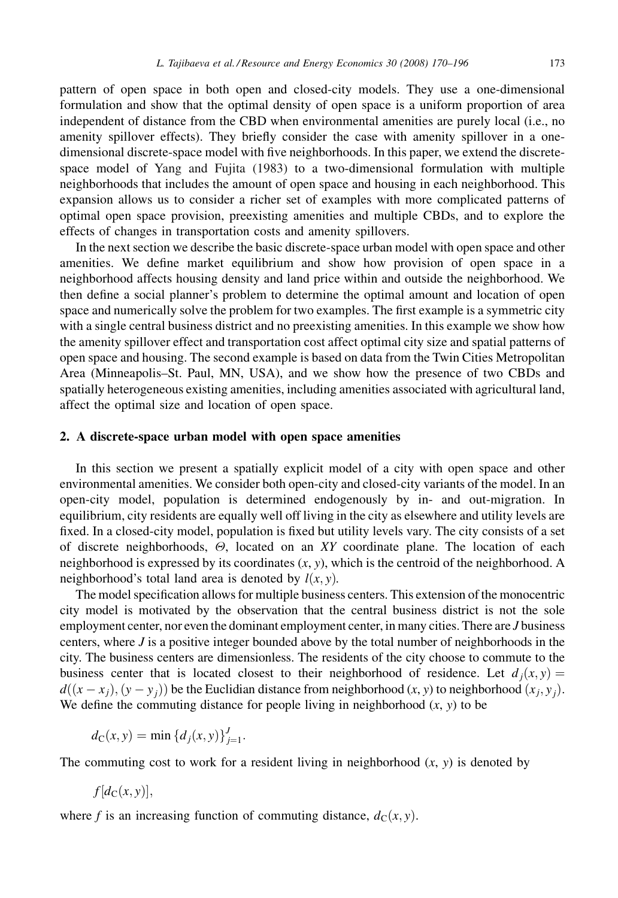pattern of open space in both open and closed-city models. They use a one-dimensional formulation and show that the optimal density of open space is a uniform proportion of area independent of distance from the CBD when environmental amenities are purely local (i.e., no amenity spillover effects). They briefly consider the case with amenity spillover in a onedimensional discrete-space model with five neighborhoods. In this paper, we extend the discretespace model of [Yang and Fujita \(1983\)](#page-26-0) to a two-dimensional formulation with multiple neighborhoods that includes the amount of open space and housing in each neighborhood. This expansion allows us to consider a richer set of examples with more complicated patterns of optimal open space provision, preexisting amenities and multiple CBDs, and to explore the effects of changes in transportation costs and amenity spillovers.

In the next section we describe the basic discrete-space urban model with open space and other amenities. We define market equilibrium and show how provision of open space in a neighborhood affects housing density and land price within and outside the neighborhood. We then define a social planner's problem to determine the optimal amount and location of open space and numerically solve the problem for two examples. The first example is a symmetric city with a single central business district and no preexisting amenities. In this example we show how the amenity spillover effect and transportation cost affect optimal city size and spatial patterns of open space and housing. The second example is based on data from the Twin Cities Metropolitan Area (Minneapolis–St. Paul, MN, USA), and we show how the presence of two CBDs and spatially heterogeneous existing amenities, including amenities associated with agricultural land, affect the optimal size and location of open space.

#### 2. A discrete-space urban model with open space amenities

In this section we present a spatially explicit model of a city with open space and other environmental amenities. We consider both open-city and closed-city variants of the model. In an open-city model, population is determined endogenously by in- and out-migration. In equilibrium, city residents are equally well off living in the city as elsewhere and utility levels are fixed. In a closed-city model, population is fixed but utility levels vary. The city consists of a set of discrete neighborhoods,  $\Theta$ , located on an XY coordinate plane. The location of each neighborhood is expressed by its coordinates  $(x, y)$ , which is the centroid of the neighborhood. A neighborhood's total land area is denoted by  $l(x, y)$ .

The model specification allows for multiple business centers. This extension of the monocentric city model is motivated by the observation that the central business district is not the sole employment center, nor even the dominant employment center, in many cities. There are *J* business centers, where  $J$  is a positive integer bounded above by the total number of neighborhoods in the city. The business centers are dimensionless. The residents of the city choose to commute to the business center that is located closest to their neighborhood of residence. Let  $d_i(x, y) =$  $d((x-x_i), (y-y_i))$  be the Euclidian distance from neighborhood  $(x, y)$  to neighborhood  $(x_i, y_i)$ . We define the commuting distance for people living in neighborhood  $(x, y)$  to be

$$
d_{\mathcal{C}}(x, y) = \min \{d_j(x, y)\}_{j=1}^J.
$$

The commuting cost to work for a resident living in neighborhood  $(x, y)$  is denoted by

$$
f[d_{\mathcal{C}}(x,y)],
$$

where f is an increasing function of commuting distance,  $d_C(x, y)$ .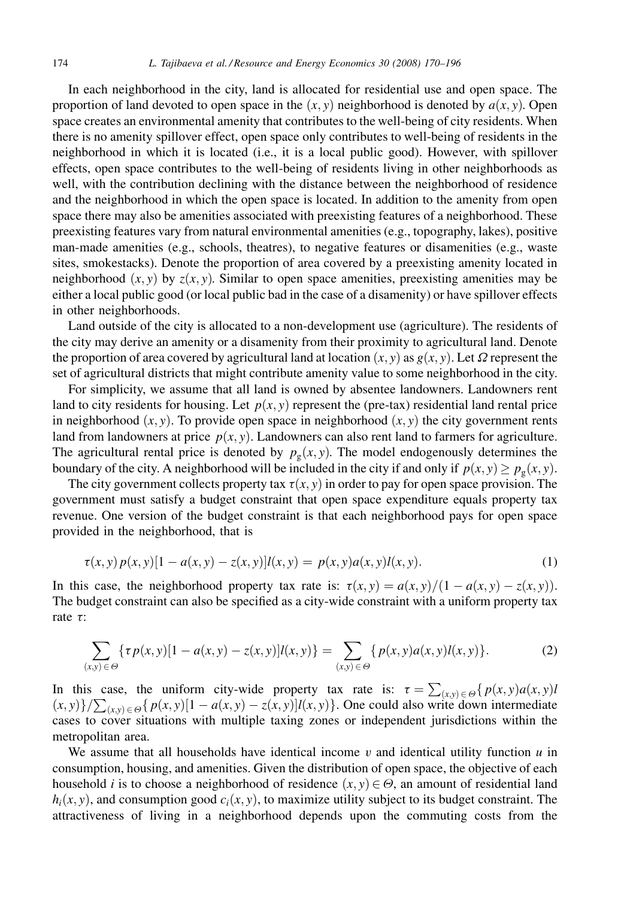<span id="page-4-0"></span>In each neighborhood in the city, land is allocated for residential use and open space. The proportion of land devoted to open space in the  $(x, y)$  neighborhood is denoted by  $a(x, y)$ . Open space creates an environmental amenity that contributes to the well-being of city residents. When there is no amenity spillover effect, open space only contributes to well-being of residents in the neighborhood in which it is located (i.e., it is a local public good). However, with spillover effects, open space contributes to the well-being of residents living in other neighborhoods as well, with the contribution declining with the distance between the neighborhood of residence and the neighborhood in which the open space is located. In addition to the amenity from open space there may also be amenities associated with preexisting features of a neighborhood. These preexisting features vary from natural environmental amenities (e.g., topography, lakes), positive man-made amenities (e.g., schools, theatres), to negative features or disamenities (e.g., waste sites, smokestacks). Denote the proportion of area covered by a preexisting amenity located in neighborhood  $(x, y)$  by  $z(x, y)$ . Similar to open space amenities, preexisting amenities may be either a local public good (or local public bad in the case of a disamenity) or have spillover effects in other neighborhoods.

Land outside of the city is allocated to a non-development use (agriculture). The residents of the city may derive an amenity or a disamenity from their proximity to agricultural land. Denote the proportion of area covered by agricultural land at location  $(x, y)$  as  $g(x, y)$ . Let  $\Omega$  represent the set of agricultural districts that might contribute amenity value to some neighborhood in the city.

For simplicity, we assume that all land is owned by absentee landowners. Landowners rent land to city residents for housing. Let  $p(x, y)$  represent the (pre-tax) residential land rental price in neighborhood  $(x, y)$ . To provide open space in neighborhood  $(x, y)$  the city government rents land from landowners at price  $p(x, y)$ . Landowners can also rent land to farmers for agriculture. The agricultural rental price is denoted by  $p_g(x, y)$ . The model endogenously determines the boundary of the city. A neighborhood will be included in the city if and only if  $p(x, y) \geq p_g(x, y)$ .

The city government collects property tax  $\tau(x, y)$  in order to pay for open space provision. The government must satisfy a budget constraint that open space expenditure equals property tax revenue. One version of the budget constraint is that each neighborhood pays for open space provided in the neighborhood, that is

$$
\tau(x, y) p(x, y) [1 - a(x, y) - z(x, y)] l(x, y) = p(x, y) a(x, y) l(x, y).
$$
 (1)

In this case, the neighborhood property tax rate is:  $\tau(x, y) = a(x, y)/(1 - a(x, y) - z(x, y))$ . The budget constraint can also be specified as a city-wide constraint with a uniform property tax rate  $\tau$ :

$$
\sum_{(x,y)\in\Theta} \{ \tau p(x,y)[1-a(x,y)-z(x,y)]l(x,y) \} = \sum_{(x,y)\in\Theta} \{ p(x,y)a(x,y)l(x,y) \}.
$$
 (2)

In this case, the uniform city-wide property tax rate is:  $\tau = \sum_{(x,y)\in\Theta} \{p(x,y)a(x,y)b(x,y)\}$  $(x, y)$ }/ $\sum_{(x, y) \in \Theta} \{p(x, y)[1 - a(x, y) - z(x, y)]l(x, y)\}$ . One could also write down intermediate cases to cover situations with multiple taxing zones or independent jurisdictions within the metropolitan area.

We assume that all households have identical income  $v$  and identical utility function  $u$  in consumption, housing, and amenities. Given the distribution of open space, the objective of each household *i* is to choose a neighborhood of residence  $(x, y) \in \Theta$ , an amount of residential land  $h_i(x, y)$ , and consumption good  $c_i(x, y)$ , to maximize utility subject to its budget constraint. The attractiveness of living in a neighborhood depends upon the commuting costs from the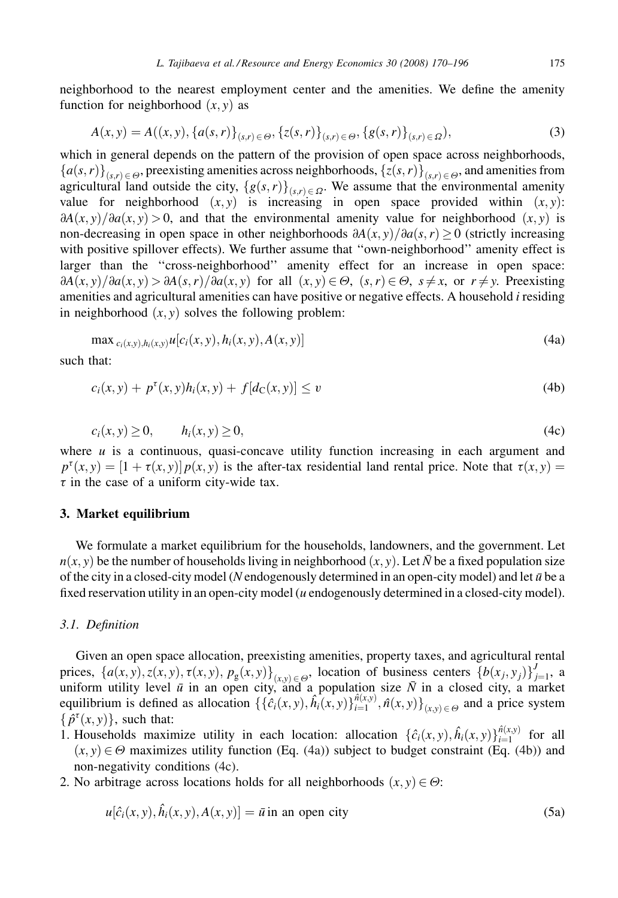<span id="page-5-0"></span>
$$
A(x,y) = A((x,y), \{a(s,r)\}_{(s,r)\in\Theta}, \{z(s,r)\}_{(s,r)\in\Theta}, \{g(s,r)\}_{(s,r)\in\Omega}),
$$
\n(3)

which in general depends on the pattern of the provision of open space across neighborhoods,  ${a(s,r)}_{(s,r)\in\Theta}$ , preexisting amenities across neighborhoods,  ${z(s,r)}_{(s,r)\in\Theta}$ , and amenities from agricultural land outside the city,  ${g(s,r)}_{(s,r)\in\Omega}$ . We assume that the environmental amenity value for neighborhood  $(x, y)$  is increasing in open space provided within  $(x, y)$ :  $\frac{\partial A(x, y)}{\partial a(x, y)} > 0$ , and that the environmental amenity value for neighborhood  $(x, y)$  is non-decreasing in open space in other neighborhoods  $\partial A(x, y)/\partial a(s, r) > 0$  (strictly increasing with positive spillover effects). We further assume that ''own-neighborhood'' amenity effect is larger than the ''cross-neighborhood'' amenity effect for an increase in open space:  $\partial A(x, y)/\partial a(x, y) > \partial A(s, r)/\partial a(x, y)$  for all  $(x, y) \in \Theta$ ,  $(s, r) \in \Theta$ ,  $s \neq x$ , or  $r \neq y$ . Preexisting amenities and agricultural amenities can have positive or negative effects. A household i residing in neighborhood  $(x, y)$  solves the following problem:

$$
\max_{c_i(x,y),h_i(x,y)} u[c_i(x,y),h_i(x,y),A(x,y)]
$$
\n(4a)

such that:

$$
c_i(x, y) + p^{\tau}(x, y)h_i(x, y) + f[d_{\mathbf{C}}(x, y)] \le v \tag{4b}
$$

$$
c_i(x, y) \ge 0, \qquad h_i(x, y) \ge 0,
$$
\n
$$
(4c)
$$

where  $u$  is a continuous, quasi-concave utility function increasing in each argument and  $p^{\tau}(x, y) = [1 + \tau(x, y)] p(x, y)$  is the after-tax residential land rental price. Note that  $\tau(x, y) =$  $\tau$  in the case of a uniform city-wide tax.

#### 3. Market equilibrium

We formulate a market equilibrium for the households, landowners, and the government. Let  $n(x, y)$  be the number of households living in neighborhood  $(x, y)$ . Let  $\bar{N}$  be a fixed population size of the city in a closed-city model (N endogenously determined in an open-city model) and let  $\bar{u}$  be a fixed reservation utility in an open-city model  $(u$  endogenously determined in a closed-city model).

## 3.1. Definition

Given an open space allocation, preexisting amenities, property taxes, and agricultural rental prices,  $\{a(x, y), z(x, y), \tau(x, y), p_g(x, y)\}_{(x, y) \in \Theta}$ , location of business centers  $\{b(x_j, y_j)\}_{j=1}^J$ , a uniform utility level  $\bar{u}$  in an open city, and a population size  $\bar{N}$  in a closed city, a market equilibrium is defined as allocation  $\{\{\hat{c}_i(x,y), \hat{h}_i(x,y)\}_{i=1}^{n(x,y)}, \hat{n}(x,y)\}_{(x,y)\in\Theta}$  and a price system  $\{\hat{p}^{\tau}(x, y)\}\$ , such that:

- 1. Households maximize utility in each location: allocation  $\{\hat{c}_i(x, y), \hat{h}_i(x, y)\}_{i=1}^{\hat{n}(x, y)}$  for all  $(x, y) \in \Theta$  maximizes utility function (Eq. (4a)) subject to budget constraint (Eq. (4b)) and non-negativity conditions (4c).
- 2. No arbitrage across locations holds for all neighborhoods  $(x, y) \in \Theta$ :

$$
u[\hat{c}_i(x, y), \hat{h}_i(x, y), A(x, y)] = \bar{u} \text{ in an open city}
$$
\n(5a)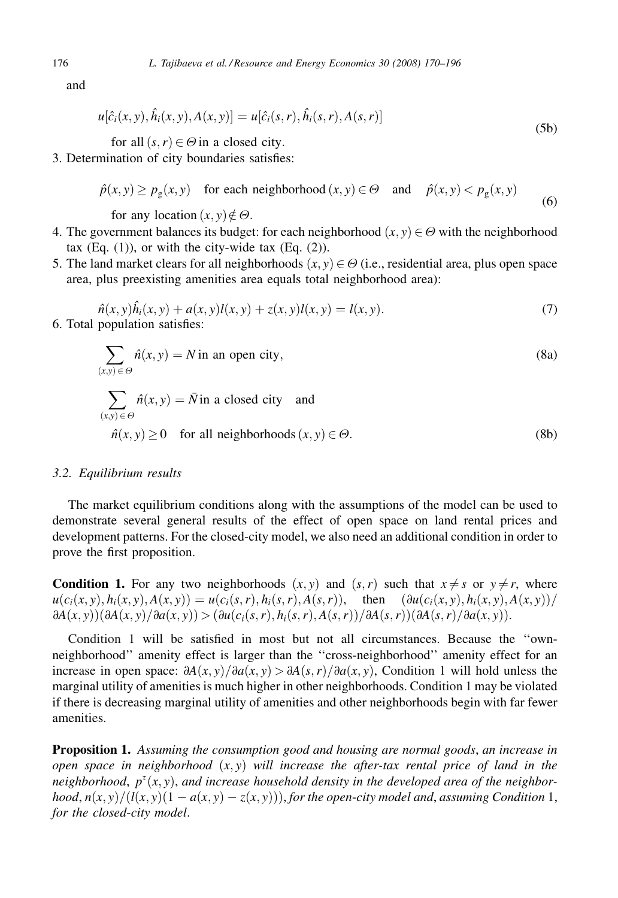and

$$
u[\hat{c}_i(x, y), \hat{h}_i(x, y), A(x, y)] = u[\hat{c}_i(s, r), \hat{h}_i(s, r), A(s, r)]
$$
\n(5b)

for all  $(s, r) \in \Theta$  in a closed city.

3. Determination of city boundaries satisfies:

$$
\hat{p}(x, y) \ge p_g(x, y) \quad \text{for each neighborhood } (x, y) \in \Theta \quad \text{and} \quad \hat{p}(x, y) < p_g(x, y) \tag{6}
$$

for any location  $(x, y) \notin \Theta$ .

- 4. The government balances its budget: for each neighborhood  $(x, y) \in \Theta$  with the neighborhood tax  $(Eq. (1))$  $(Eq. (1))$ , or with the city-wide tax  $(Eq. (2))$  $(Eq. (2))$  $(Eq. (2))$ .
- 5. The land market clears for all neighborhoods  $(x, y) \in \Theta$  (i.e., residential area, plus open space area, plus preexisting amenities area equals total neighborhood area):

$$
\hat{n}(x, y)\hat{h}_i(x, y) + a(x, y)l(x, y) + z(x, y)l(x, y) = l(x, y).
$$
\n(7)

\n6. Total population satisfies:

$$
\sum_{(x,y)\in\Theta} \hat{n}(x,y) = N \text{ in an open city},
$$
\n
$$
\sum_{(x,y)\in\Theta} \hat{n}(x,y) = \bar{N} \text{ in a closed city and}
$$
\n
$$
\hat{n}(x,y) \ge 0 \text{ for all neighborhoods } (x,y)\in\Theta.
$$
\n(8b)

## 3.2. Equilibrium results

The market equilibrium conditions along with the assumptions of the model can be used to demonstrate several general results of the effect of open space on land rental prices and development patterns. For the closed-city model, we also need an additional condition in order to prove the first proposition.

**Condition 1.** For any two neighborhoods  $(x, y)$  and  $(s, r)$  such that  $x \neq s$  or  $y \neq r$ , where  $u(c_i(x, y), h_i(x, y), A(x, y)) = u(c_i(s, r), h_i(s, r), A(s, r)),$  then  $(\partial u(c_i(x, y), h_i(x, y), A(x, y))/$  $\frac{\partial A(x, y)}{\partial A(x, y)} \frac{\partial a(x, y)}{\partial a(x, y)}$   $\frac{\partial u(c_i(s, r), h_i(s, r), A(s, r))}{\partial A(s, r)} \frac{\partial A(s, r)}{\partial a(x, y)}$ .

Condition 1 will be satisfied in most but not all circumstances. Because the ''ownneighborhood'' amenity effect is larger than the ''cross-neighborhood'' amenity effect for an increase in open space:  $\partial A(x, y)/\partial a(x, y) > \partial A(s, r)/\partial a(x, y)$ , Condition 1 will hold unless the marginal utility of amenities is much higher in other neighborhoods. Condition 1 may be violated if there is decreasing marginal utility of amenities and other neighborhoods begin with far fewer amenities.

Proposition 1. Assuming the consumption good and housing are normal goods, an increase in open space in neighborhood  $(x, y)$  will increase the after-tax rental price of land in the neighborhood,  $p^{\tau}(x, y)$ , and increase household density in the developed area of the neighborhood,  $n(x, y)/(l(x, y)(1 - a(x, y) - z(x, y)))$ , for the open-city model and, assuming Condition 1, for the closed-city model.

<span id="page-6-0"></span>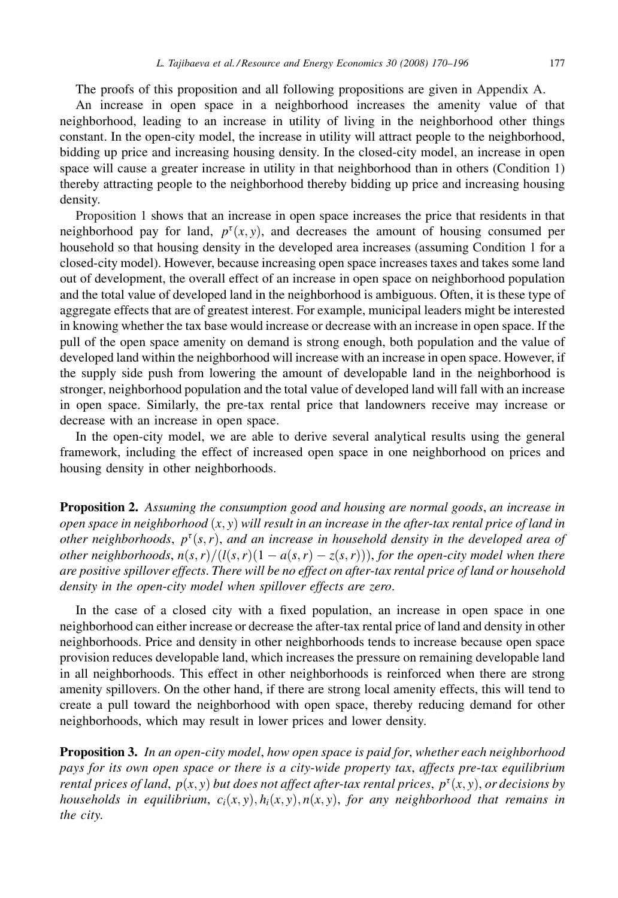<span id="page-7-0"></span>The proofs of this proposition and all following propositions are given in [Appendix A.](#page-22-0)

An increase in open space in a neighborhood increases the amenity value of that neighborhood, leading to an increase in utility of living in the neighborhood other things constant. In the open-city model, the increase in utility will attract people to the neighborhood, bidding up price and increasing housing density. In the closed-city model, an increase in open space will cause a greater increase in utility in that neighborhood than in others [\(Condition 1\)](#page-6-0) thereby attracting people to the neighborhood thereby bidding up price and increasing housing density.

[Proposition 1](#page-6-0) shows that an increase in open space increases the price that residents in that neighborhood pay for land,  $p^{\tau}(x, y)$ , and decreases the amount of housing consumed per household so that housing density in the developed area increases (assuming [Condition 1](#page-6-0) for a closed-city model). However, because increasing open space increases taxes and takes some land out of development, the overall effect of an increase in open space on neighborhood population and the total value of developed land in the neighborhood is ambiguous. Often, it is these type of aggregate effects that are of greatest interest. For example, municipal leaders might be interested in knowing whether the tax base would increase or decrease with an increase in open space. If the pull of the open space amenity on demand is strong enough, both population and the value of developed land within the neighborhood will increase with an increase in open space. However, if the supply side push from lowering the amount of developable land in the neighborhood is stronger, neighborhood population and the total value of developed land will fall with an increase in open space. Similarly, the pre-tax rental price that landowners receive may increase or decrease with an increase in open space.

In the open-city model, we are able to derive several analytical results using the general framework, including the effect of increased open space in one neighborhood on prices and housing density in other neighborhoods.

**Proposition 2.** Assuming the consumption good and housing are normal goods, an increase in open space in neighborhood  $(x, y)$  will result in an increase in the after-tax rental price of land in other neighborhoods,  $p^{\tau}(s,r)$ , and an increase in household density in the developed area of other neighborhoods,  $n(s, r)/(l(s, r)(1 - a(s, r) - z(s, r))),$  for the open-city model when there are positive spillover effects. There will be no effect on after-tax rental price of land or household density in the open-city model when spillover effects are zero.

In the case of a closed city with a fixed population, an increase in open space in one neighborhood can either increase or decrease the after-tax rental price of land and density in other neighborhoods. Price and density in other neighborhoods tends to increase because open space provision reduces developable land, which increases the pressure on remaining developable land in all neighborhoods. This effect in other neighborhoods is reinforced when there are strong amenity spillovers. On the other hand, if there are strong local amenity effects, this will tend to create a pull toward the neighborhood with open space, thereby reducing demand for other neighborhoods, which may result in lower prices and lower density.

**Proposition 3.** In an open-city model, how open space is paid for, whether each neighborhood pays for its own open space or there is a city-wide property tax, affects pre-tax equilibrium rental prices of land,  $p(x, y)$  but does not affect after-tax rental prices,  $p^{\tau}(x, y)$ , or decisions by households in equilibrium,  $c_i(x, y)$ ,  $h_i(x, y)$ ,  $n(x, y)$ , for any neighborhood that remains in the city.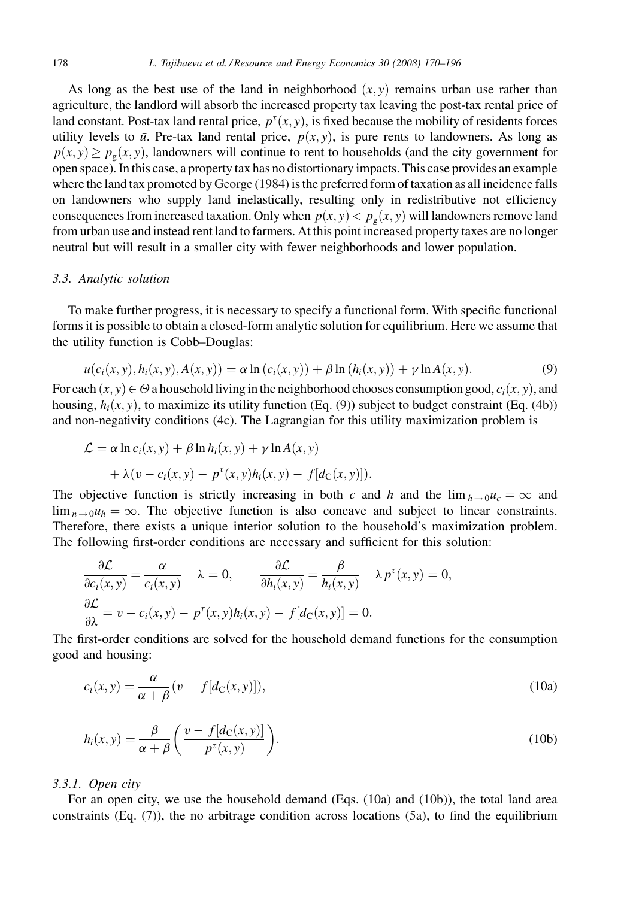<span id="page-8-0"></span>As long as the best use of the land in neighborhood  $(x, y)$  remains urban use rather than agriculture, the landlord will absorb the increased property tax leaving the post-tax rental price of land constant. Post-tax land rental price,  $p^{\tau}(x, y)$ , is fixed because the mobility of residents forces utility levels to  $\bar{u}$ . Pre-tax land rental price,  $p(x, y)$ , is pure rents to landowners. As long as  $p(x, y) \ge p_{\varphi}(x, y)$ , landowners will continue to rent to households (and the city government for open space). In this case, a property tax has no distortionary impacts. This case provides an example where the land tax promoted by [George \(1984\)](#page-25-0) is the preferred form of taxation as all incidence falls on landowners who supply land inelastically, resulting only in redistributive not efficiency consequences from increased taxation. Only when  $p(x, y) < p_g(x, y)$  will landowners remove land from urban use and instead rent land to farmers. At this point increased property taxes are no longer neutral but will result in a smaller city with fewer neighborhoods and lower population.

# 3.3. Analytic solution

To make further progress, it is necessary to specify a functional form. With specific functional forms it is possible to obtain a closed-form analytic solution for equilibrium. Here we assume that the utility function is Cobb–Douglas:

$$
u(c_i(x, y), h_i(x, y), A(x, y)) = \alpha \ln (c_i(x, y)) + \beta \ln (h_i(x, y)) + \gamma \ln A(x, y).
$$
 (9)

For each  $(x, y) \in \Theta$  a household living in the neighborhood chooses consumption good,  $c_i(x, y)$ , and housing,  $h_i(x, y)$ , to maximize its utility function (Eq. (9)) subject to budget constraint (Eq. [\(4b\)\)](#page-5-0) and non-negativity conditions [\(4c\)](#page-5-0). The Lagrangian for this utility maximization problem is

$$
\mathcal{L} = \alpha \ln c_i(x, y) + \beta \ln h_i(x, y) + \gamma \ln A(x, y)
$$

$$
+ \lambda (v - c_i(x, y) - p^{\tau}(x, y)h_i(x, y) - f[d_C(x, y)]).
$$

The objective function is strictly increasing in both c and h and the  $\lim_{h\to 0}u_c = \infty$  and  $\lim_{n\to 0} u_h = \infty$ . The objective function is also concave and subject to linear constraints. Therefore, there exists a unique interior solution to the household's maximization problem. The following first-order conditions are necessary and sufficient for this solution:

$$
\frac{\partial \mathcal{L}}{\partial c_i(x, y)} = \frac{\alpha}{c_i(x, y)} - \lambda = 0, \qquad \frac{\partial \mathcal{L}}{\partial h_i(x, y)} = \frac{\beta}{h_i(x, y)} - \lambda p^{\tau}(x, y) = 0,
$$
  

$$
\frac{\partial \mathcal{L}}{\partial \lambda} = v - c_i(x, y) - p^{\tau}(x, y)h_i(x, y) - f[d_{\mathcal{C}}(x, y)] = 0.
$$

The first-order conditions are solved for the household demand functions for the consumption good and housing:

$$
c_i(x, y) = \frac{\alpha}{\alpha + \beta} (v - f[d_C(x, y)]),
$$
\n(10a)

$$
h_i(x, y) = \frac{\beta}{\alpha + \beta} \left( \frac{v - f[d_c(x, y)]}{p^{\tau}(x, y)} \right).
$$
 (10b)

#### 3.3.1. Open city

For an open city, we use the household demand (Eqs. (10a) and (10b)), the total land area constraints  $(Eq. (7))$  $(Eq. (7))$ , the no arbitrage condition across locations  $(5a)$ , to find the equilibrium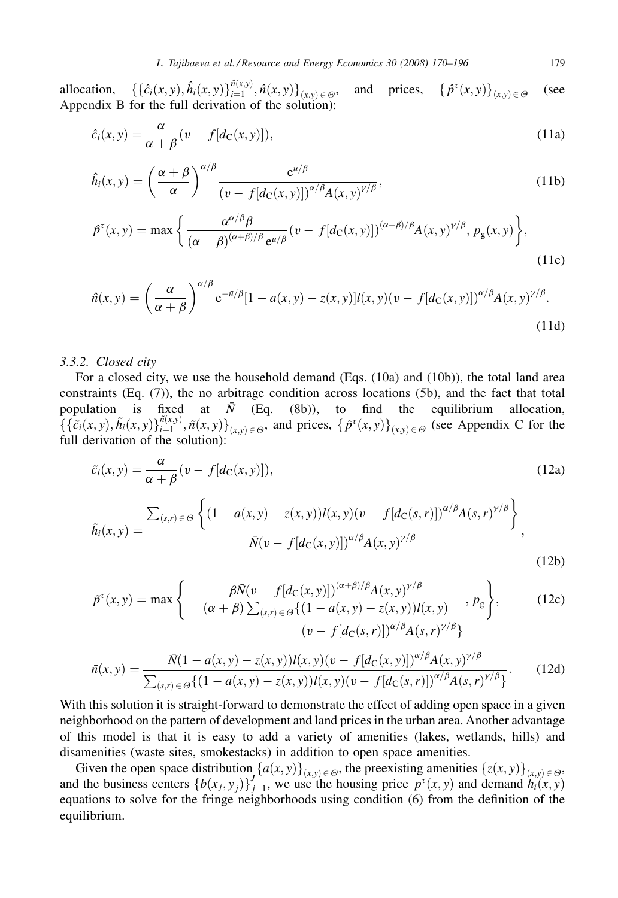allocation,  $\{\{\hat{c}_i(x, y), \hat{h}_i(x, y)\}_{i=1}^{\hat{n}(x, y)}, \hat{n}(x, y)\}_{(x, y) \in \Theta}$ , and prices,  $\{\hat{p}^{\tau}\}_{(x, y) \in \Theta}$ and prices,  $\{\hat{p}^{\tau}(x, y)\}_{(x, y) \in \Theta}$  (see [Appendix B](#page-23-0) for the full derivation of the solution):

$$
\hat{c}_i(x, y) = \frac{\alpha}{\alpha + \beta} (v - f[d_C(x, y)]), \tag{11a}
$$

$$
\hat{h}_i(x,y) = \left(\frac{\alpha+\beta}{\alpha}\right)^{\alpha/\beta} \frac{e^{\bar{u}/\beta}}{(v-f[d_C(x,y)])^{\alpha/\beta} A(x,y)^{\gamma/\beta}},\tag{11b}
$$

$$
\hat{p}^{\tau}(x,y) = \max \left\{ \frac{\alpha^{\alpha/\beta}\beta}{(\alpha+\beta)^{(\alpha+\beta)/\beta} e^{\bar{a}/\beta}} (v - f[d_{\mathcal{C}}(x,y)])^{(\alpha+\beta)/\beta} A(x,y)^{\gamma/\beta}, p_{g}(x,y) \right\},\tag{11c}
$$

$$
\hat{n}(x,y) = \left(\frac{\alpha}{\alpha+\beta}\right)^{\alpha/\beta} e^{-\bar{u}/\beta} [1 - a(x,y) - z(x,y)] l(x,y) (v - f[d_{\mathcal{C}}(x,y)])^{\alpha/\beta} A(x,y)^{\gamma/\beta}.
$$
\n(11d)

#### 3.3.2. Closed city

For a closed city, we use the household demand (Eqs. [\(10a\) and \(10b\)\)](#page-8-0), the total land area constraints (Eq. [\(7\)](#page-6-0)), the no arbitrage condition across locations [\(5b\)](#page-6-0), and the fact that total population is fixed at  $\bar{N}$  (Eq. [\(8b\)](#page-6-0)), to find the equilibrium allocation,  $\{\{\tilde{c}_i(x,y), \tilde{h}_i(x,y)\}_{i=1}^{\tilde{n}(x,y)}$ ,  $\tilde{n}(x,y)\}_{(x,y)\in\Theta}$ , and prices,  $\{\tilde{p}^{\tau}(x,y)\}_{(x,y)\in\Theta}$  (see [Appendix C](#page-24-0) for the full derivation of the solution):

$$
\tilde{c}_i(x, y) = \frac{\alpha}{\alpha + \beta} (v - f[d_C(x, y)]),
$$
\n
$$
\tilde{h}_i(x, y) = \frac{\sum_{(s, r) \in \Theta} \left\{ (1 - a(x, y) - z(x, y)) l(x, y) (v - f[d_C(s, r)])^{\alpha/\beta} A(s, r)^{\gamma/\beta} \right\}}{\bar{N}(v - f[d_C(x, y)])^{\alpha/\beta} A(x, y)^{\gamma/\beta}},
$$
\n(12b)

$$
\tilde{p}^{\tau}(x, y) = \max \left\{ \frac{\beta \bar{N}(v - f[d_{\mathcal{C}}(x, y)])^{(\alpha + \beta)/\beta} A(x, y)^{\gamma/\beta}}{(\alpha + \beta) \sum_{(s, r) \in \Theta} \{ (1 - a(x, y) - z(x, y)) l(x, y), p_{\mathcal{B}} \}} \right\},
$$
(12c)  

$$
(v - f[d_{\mathcal{C}}(s, r)])^{\alpha/\beta} A(s, r)^{\gamma/\beta} \}
$$

$$
\tilde{n}(x,y) = \frac{\bar{N}(1-a(x,y)-z(x,y))l(x,y)(v-f[d_{\mathcal{C}}(x,y)])^{\alpha/\beta}A(x,y)^{\gamma/\beta}}{\sum_{(s,r)\in\Theta}\{(1-a(x,y)-z(x,y))l(x,y)(v-f[d_{\mathcal{C}}(s,r)])^{\alpha/\beta}A(s,r)^{\gamma/\beta}\}}.
$$
(12d)

With this solution it is straight-forward to demonstrate the effect of adding open space in a given neighborhood on the pattern of development and land prices in the urban area. Another advantage of this model is that it is easy to add a variety of amenities (lakes, wetlands, hills) and disamenities (waste sites, smokestacks) in addition to open space amenities.

Given the open space distribution  $\{a(x, y)\}_{(x, y) \in \Theta}$ , the preexisting amenities  $\{z(x, y)\}_{(x, y) \in \Theta}$ , and the business centers  $\{b(x_j, y_j)\}_{j=1}^J$ , we use the housing price  $p^{\tau}(x, y)$  and demand  $h_i(x, y)$  equations to solve for the fringe neighborhoods using condition [\(6\)](#page-6-0) from the definition of the equilibrium.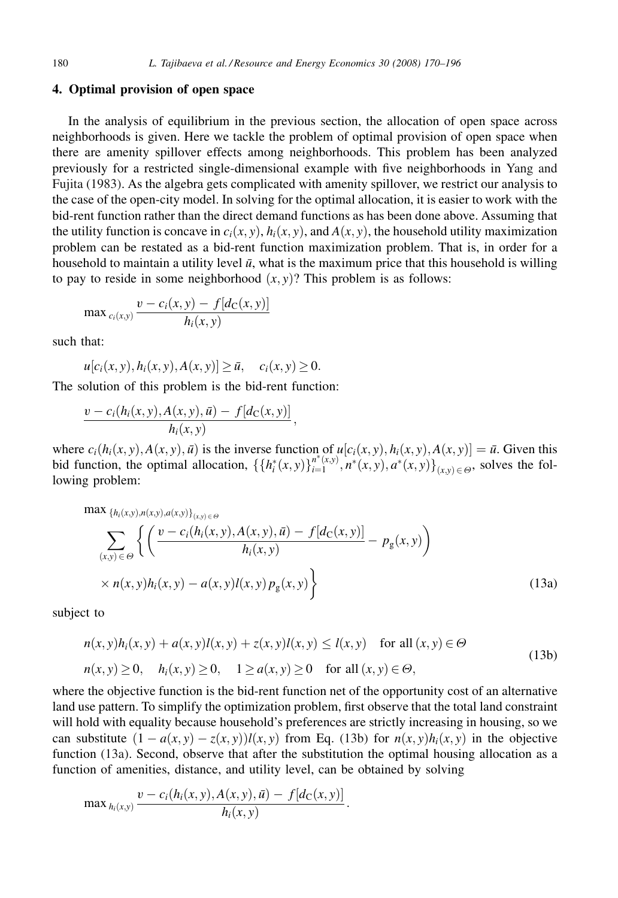#### 4. Optimal provision of open space

In the analysis of equilibrium in the previous section, the allocation of open space across neighborhoods is given. Here we tackle the problem of optimal provision of open space when there are amenity spillover effects among neighborhoods. This problem has been analyzed previously for a restricted single-dimensional example with five neighborhoods in [Yang and](#page-26-0) [Fujita \(1983\)](#page-26-0). As the algebra gets complicated with amenity spillover, we restrict our analysis to the case of the open-city model. In solving for the optimal allocation, it is easier to work with the bid-rent function rather than the direct demand functions as has been done above. Assuming that the utility function is concave in  $c_i(x, y)$ ,  $h_i(x, y)$ , and  $A(x, y)$ , the household utility maximization problem can be restated as a bid-rent function maximization problem. That is, in order for a household to maintain a utility level  $\bar{u}$ , what is the maximum price that this household is willing to pay to reside in some neighborhood  $(x, y)$ ? This problem is as follows:

$$
\max_{c_i(x,y)} \frac{v - c_i(x,y) - f[d_C(x,y)]}{h_i(x,y)}
$$

such that:

$$
u[c_i(x, y), h_i(x, y), A(x, y)] \ge \bar{u}, \quad c_i(x, y) \ge 0.
$$

The solution of this problem is the bid-rent function:

$$
\frac{v-c_i(h_i(x,y),A(x,y),\bar{u})-f[d_C(x,y)]}{h_i(x,y)},
$$

where  $c_i(h_i(x, y), A(x, y), \bar{u})$  is the inverse function of  $u[c_i(x, y), h_i(x, y), A(x, y)] = \bar{u}$ . Given this bid function, the optimal allocation,  $\{\{h_i^*(x,y)\}_{i=1}^{n^*(x,y)}, n^*(x,y), a^*(x,y)\}_{(x,y)\in\Theta}$ , solves the following problem:

$$
\max \{ h_i(x, y), n(x, y), a(x, y) \}_{(x, y) \in \Theta} \left\{ \left( \frac{v - c_i(h_i(x, y), A(x, y), \bar{u}) - f[d_C(x, y)]}{h_i(x, y)} - p_g(x, y) \right) \right\} \times n(x, y) h_i(x, y) - a(x, y) l(x, y) p_g(x, y) \right\}
$$
(13a)

subject to

$$
n(x, y)hi(x, y) + a(x, y)l(x, y) + z(x, y)l(x, y) \le l(x, y) \quad \text{for all } (x, y) \in \Theta
$$
  
\n
$$
n(x, y) \ge 0, \quad hi(x, y) \ge 0, \quad 1 \ge a(x, y) \ge 0 \quad \text{for all } (x, y) \in \Theta,
$$
\n(13b)

where the objective function is the bid-rent function net of the opportunity cost of an alternative land use pattern. To simplify the optimization problem, first observe that the total land constraint will hold with equality because household's preferences are strictly increasing in housing, so we can substitute  $(1 - a(x, y) - z(x, y))l(x, y)$  from Eq. (13b) for  $n(x, y)h<sub>i</sub>(x, y)$  in the objective function (13a). Second, observe that after the substitution the optimal housing allocation as a function of amenities, distance, and utility level, can be obtained by solving

$$
\max_{h_i(x,y)} \frac{v - c_i(h_i(x,y), A(x,y), \bar{u}) - f[d_C(x,y)]}{h_i(x,y)}.
$$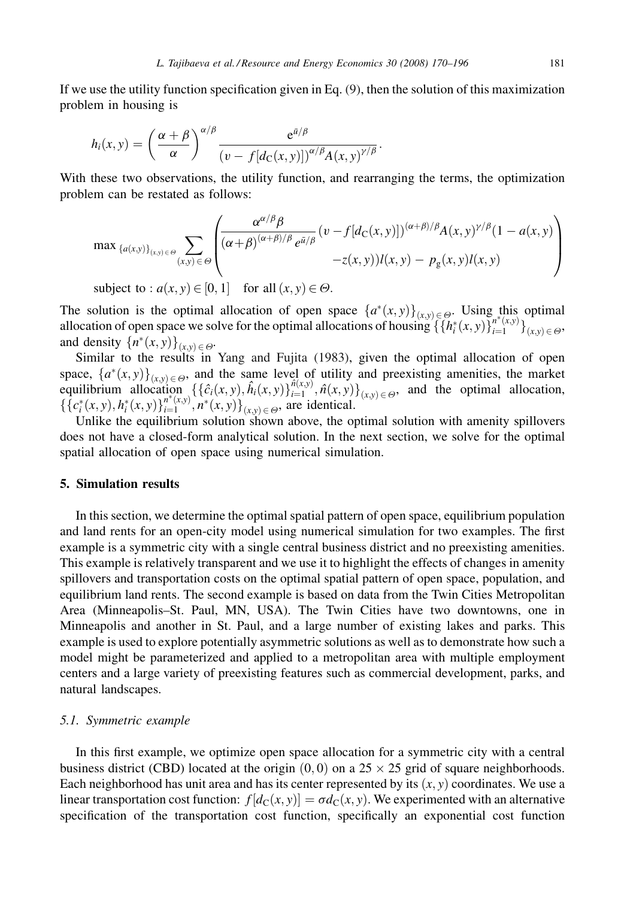If we use the utility function specification given in Eq. [\(9\)](#page-8-0), then the solution of this maximization problem in housing is

$$
h_i(x,y) = \left(\frac{\alpha+\beta}{\alpha}\right)^{\alpha/\beta} \frac{e^{\bar{u}/\beta}}{(v-f[d_{\rm C}(x,y)])^{\alpha/\beta}A(x,y)^{\gamma/\beta}}.
$$

With these two observations, the utility function, and rearranging the terms, the optimization problem can be restated as follows:

$$
\max_{\{a(x,y)\}_{(x,y)\in\Theta}} \sum_{(x,y)\in\Theta} \left( \frac{\alpha^{\alpha/\beta}\beta}{(\alpha+\beta)^{(\alpha+\beta)/\beta}e^{\bar{a}/\beta}} (v-f[d_{\mathcal{C}}(x,y)])^{(\alpha+\beta)/\beta} A(x,y)^{\gamma/\beta} (1-a(x,y)) - z(x,y))l(x,y) - p_{g}(x,y)l(x,y) \right)
$$

subject to :  $a(x, y) \in [0, 1]$  for all  $(x, y) \in \Theta$ .

The solution is the optimal allocation of open space  $\{a^*(x,y)\}_{(x,y)\in\Theta}$ . Using this optimal allocation of open space we solve for the optimal allocations of housing  $\{\{h_i^*(x,y)\}_{i=1}^{\pi^*(x,y)}\}_{(x,y)\in\Theta}$ and density  ${n^*(x, y)}_{(x, y) \in \Theta}$ .

Similar to the results in [Yang and Fujita \(1983\)](#page-26-0), given the optimal allocation of open space,  $\{a^*(x, y)\}_{(x, y) \in \Theta}$ , and the same level of utility and preexisting amenities, the market equilibrium allocation  $\{\{\hat{c}_i(x,y), \hat{h}_i(x,y)\}_{i=1}^{\hat{n}(x,y)}, \hat{n}(x,y)\}_{(x,y)\in\Theta}$ , and the optimal allocation,  $\{\{c_i^*(x, y), h_i^*(x, y)\}_{i=1}^{n^*(x, y)}, n^*(x, y)\}_{(x, y) \in \Theta}$ , are identical.

Unlike the equilibrium solution shown above, the optimal solution with amenity spillovers does not have a closed-form analytical solution. In the next section, we solve for the optimal spatial allocation of open space using numerical simulation.

## 5. Simulation results

In this section, we determine the optimal spatial pattern of open space, equilibrium population and land rents for an open-city model using numerical simulation for two examples. The first example is a symmetric city with a single central business district and no preexisting amenities. This example is relatively transparent and we use it to highlight the effects of changes in amenity spillovers and transportation costs on the optimal spatial pattern of open space, population, and equilibrium land rents. The second example is based on data from the Twin Cities Metropolitan Area (Minneapolis–St. Paul, MN, USA). The Twin Cities have two downtowns, one in Minneapolis and another in St. Paul, and a large number of existing lakes and parks. This example is used to explore potentially asymmetric solutions as well as to demonstrate how such a model might be parameterized and applied to a metropolitan area with multiple employment centers and a large variety of preexisting features such as commercial development, parks, and natural landscapes.

#### 5.1. Symmetric example

In this first example, we optimize open space allocation for a symmetric city with a central business district (CBD) located at the origin  $(0,0)$  on a 25  $\times$  25 grid of square neighborhoods. Each neighborhood has unit area and has its center represented by its  $(x, y)$  coordinates. We use a linear transportation cost function:  $f[d_C(x, y)] = \sigma d_C(x, y)$ . We experimented with an alternative specification of the transportation cost function, specifically an exponential cost function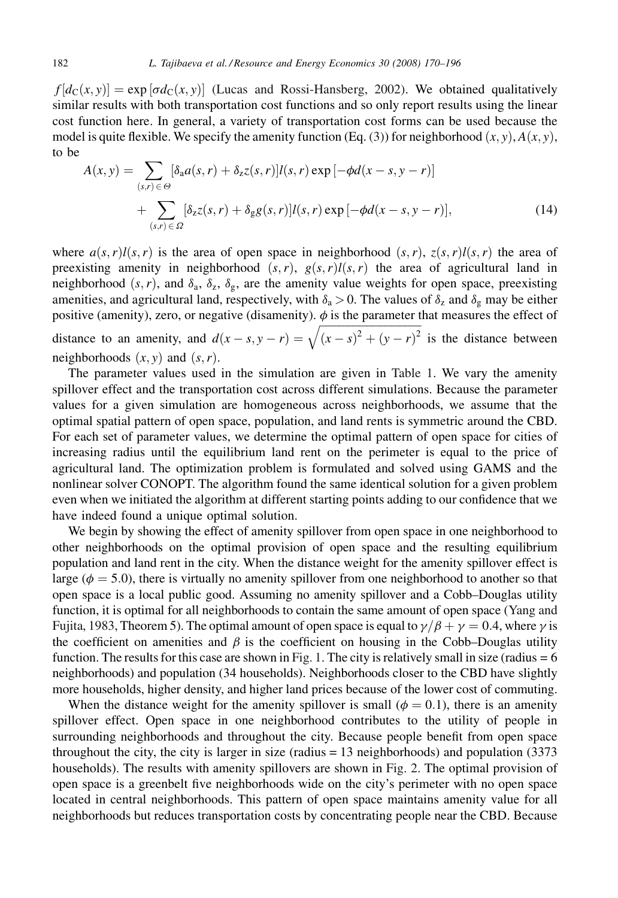$f[d_{\mathcal{C}}(x, y)] = \exp[\sigma d_{\mathcal{C}}(x, y)]$  [\(Lucas and Rossi-Hansberg, 2002\).](#page-26-0) We obtained qualitatively similar results with both transportation cost functions and so only report results using the linear cost function here. In general, a variety of transportation cost forms can be used because the model is quite flexible. We specify the amenity function (Eq. [\(3\)](#page-5-0)) for neighborhood  $(x, y)$ ,  $A(x, y)$ , to be

$$
A(x,y) = \sum_{(s,r)\in\Theta} [\delta_a a(s,r) + \delta_z z(s,r)]l(s,r) \exp[-\phi d(x-s,y-r)]
$$
  
+ 
$$
\sum_{(s,r)\in\Omega} [\delta_z z(s,r) + \delta_g g(s,r)]l(s,r) \exp[-\phi d(x-s,y-r)],
$$
 (14)

where  $a(s, r)l(s, r)$  is the area of open space in neighborhood  $(s, r)$ ,  $z(s, r)l(s, r)$  the area of preexisting amenity in neighborhood  $(s, r)$ ,  $g(s, r)l(s, r)$  the area of agricultural land in neighborhood  $(s, r)$ , and  $\delta_a$ ,  $\delta_z$ ,  $\delta_g$ , are the amenity value weights for open space, preexisting amenities, and agricultural land, respectively, with  $\delta_a > 0$ . The values of  $\delta_z$  and  $\delta_g$  may be either positive (amenity), zero, or negative (disamenity).  $\phi$  is the parameter that measures the effect of

distance to an amenity, and  $d(x - s, y - r) = \sqrt{(x - s)^2 + (y - r)^2}$  is the distance between neighborhoods  $(x, y)$  and  $(s, r)$ .

The parameter values used in the simulation are given in [Table 1](#page-18-0). We vary the amenity spillover effect and the transportation cost across different simulations. Because the parameter values for a given simulation are homogeneous across neighborhoods, we assume that the optimal spatial pattern of open space, population, and land rents is symmetric around the CBD. For each set of parameter values, we determine the optimal pattern of open space for cities of increasing radius until the equilibrium land rent on the perimeter is equal to the price of agricultural land. The optimization problem is formulated and solved using GAMS and the nonlinear solver CONOPT. The algorithm found the same identical solution for a given problem even when we initiated the algorithm at different starting points adding to our confidence that we have indeed found a unique optimal solution.

We begin by showing the effect of amenity spillover from open space in one neighborhood to other neighborhoods on the optimal provision of open space and the resulting equilibrium population and land rent in the city. When the distance weight for the amenity spillover effect is large ( $\phi = 5.0$ ), there is virtually no amenity spillover from one neighborhood to another so that open space is a local public good. Assuming no amenity spillover and a Cobb–Douglas utility function, it is optimal for all neighborhoods to contain the same amount of open space [\(Yang and](#page-26-0) [Fujita, 1983,](#page-26-0) Theorem 5). The optimal amount of open space is equal to  $\gamma/\beta + \gamma = 0.4$ , where  $\gamma$  is the coefficient on amenities and  $\beta$  is the coefficient on housing in the Cobb–Douglas utility function. The results for this case are shown in [Fig. 1](#page-13-0). The city is relatively small in size (radius = 6 neighborhoods) and population (34 households). Neighborhoods closer to the CBD have slightly more households, higher density, and higher land prices because of the lower cost of commuting.

When the distance weight for the amenity spillover is small ( $\phi = 0.1$ ), there is an amenity spillover effect. Open space in one neighborhood contributes to the utility of people in surrounding neighborhoods and throughout the city. Because people benefit from open space throughout the city, the city is larger in size (radius = 13 neighborhoods) and population (3373 households). The results with amenity spillovers are shown in [Fig. 2](#page-14-0). The optimal provision of open space is a greenbelt five neighborhoods wide on the city's perimeter with no open space located in central neighborhoods. This pattern of open space maintains amenity value for all neighborhoods but reduces transportation costs by concentrating people near the CBD. Because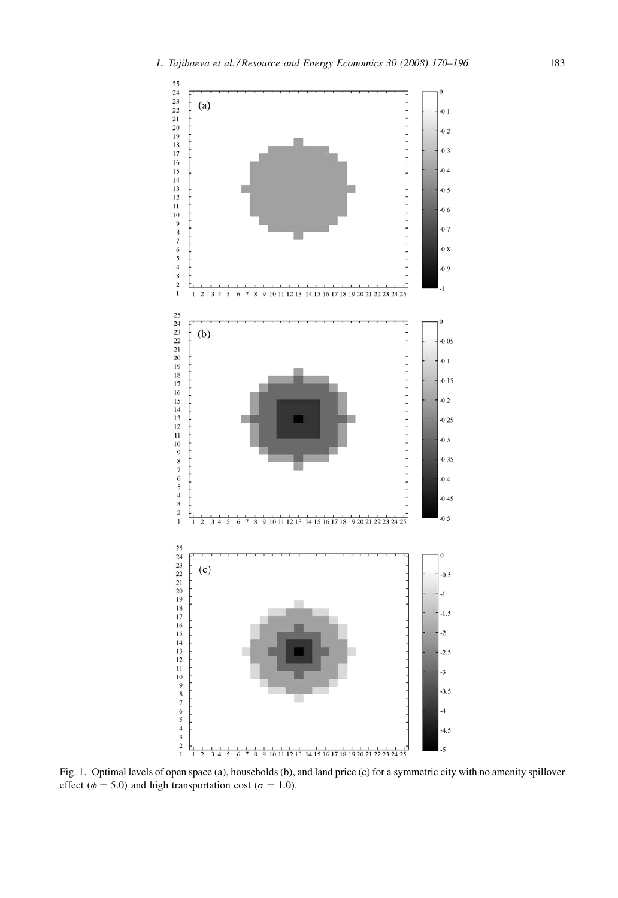<span id="page-13-0"></span>

Fig. 1. Optimal levels of open space (a), households (b), and land price (c) for a symmetric city with no amenity spillover effect ( $\phi$  = 5.0) and high transportation cost ( $\sigma$  = 1.0).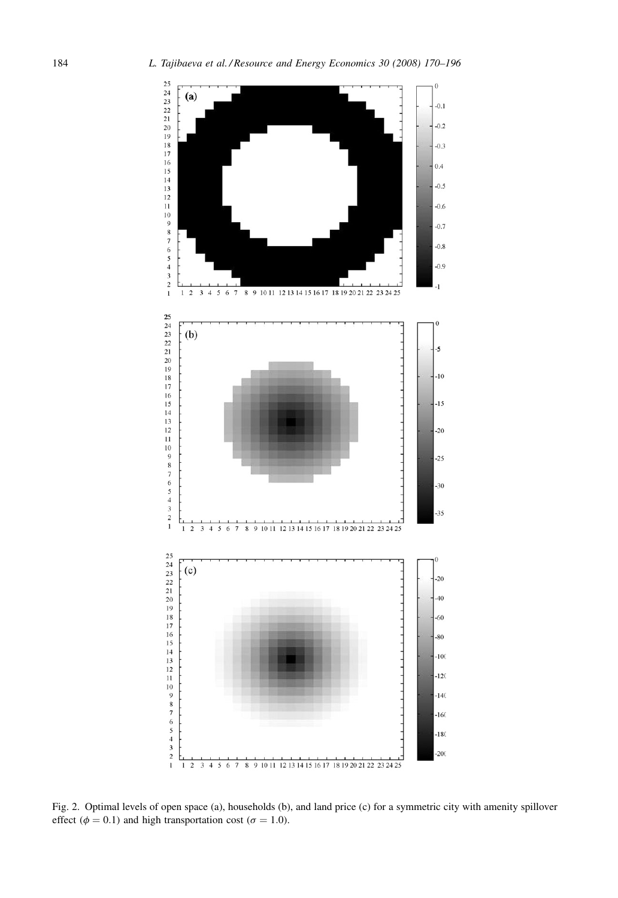<span id="page-14-0"></span>

Fig. 2. Optimal levels of open space (a), households (b), and land price (c) for a symmetric city with amenity spillover effect ( $\phi = 0.1$ ) and high transportation cost ( $\sigma = 1.0$ ).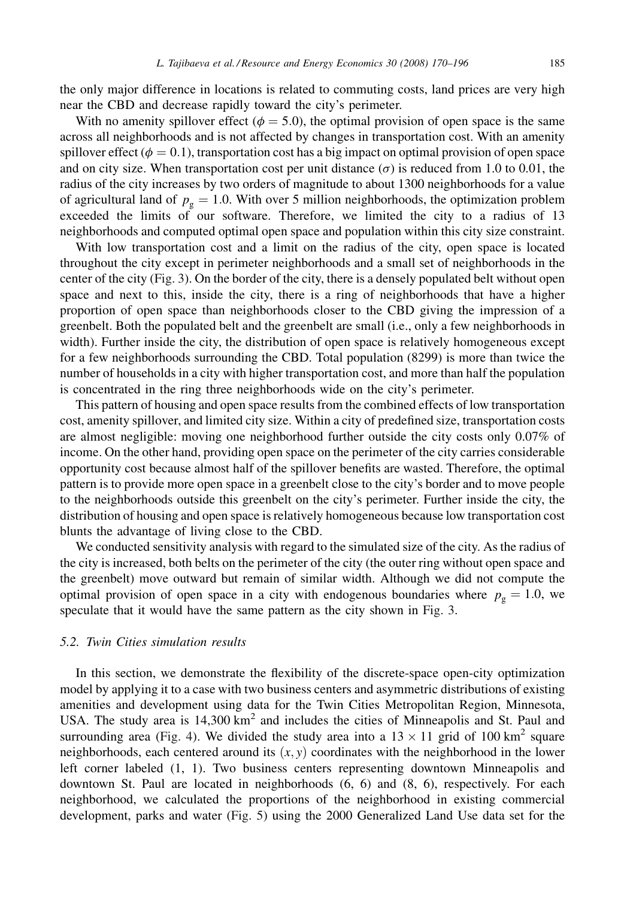the only major difference in locations is related to commuting costs, land prices are very high near the CBD and decrease rapidly toward the city's perimeter.

With no amenity spillover effect ( $\phi = 5.0$ ), the optimal provision of open space is the same across all neighborhoods and is not affected by changes in transportation cost. With an amenity spillover effect ( $\phi = 0.1$ ), transportation cost has a big impact on optimal provision of open space and on city size. When transportation cost per unit distance ( $\sigma$ ) is reduced from 1.0 to 0.01, the radius of the city increases by two orders of magnitude to about 1300 neighborhoods for a value of agricultural land of  $p<sub>o</sub> = 1.0$ . With over 5 million neighborhoods, the optimization problem exceeded the limits of our software. Therefore, we limited the city to a radius of 13 neighborhoods and computed optimal open space and population within this city size constraint.

With low transportation cost and a limit on the radius of the city, open space is located throughout the city except in perimeter neighborhoods and a small set of neighborhoods in the center of the city ([Fig. 3\)](#page-16-0). On the border of the city, there is a densely populated belt without open space and next to this, inside the city, there is a ring of neighborhoods that have a higher proportion of open space than neighborhoods closer to the CBD giving the impression of a greenbelt. Both the populated belt and the greenbelt are small (i.e., only a few neighborhoods in width). Further inside the city, the distribution of open space is relatively homogeneous except for a few neighborhoods surrounding the CBD. Total population (8299) is more than twice the number of households in a city with higher transportation cost, and more than half the population is concentrated in the ring three neighborhoods wide on the city's perimeter.

This pattern of housing and open space results from the combined effects of low transportation cost, amenity spillover, and limited city size. Within a city of predefined size, transportation costs are almost negligible: moving one neighborhood further outside the city costs only 0.07% of income. On the other hand, providing open space on the perimeter of the city carries considerable opportunity cost because almost half of the spillover benefits are wasted. Therefore, the optimal pattern is to provide more open space in a greenbelt close to the city's border and to move people to the neighborhoods outside this greenbelt on the city's perimeter. Further inside the city, the distribution of housing and open space is relatively homogeneous because low transportation cost blunts the advantage of living close to the CBD.

We conducted sensitivity analysis with regard to the simulated size of the city. As the radius of the city is increased, both belts on the perimeter of the city (the outer ring without open space and the greenbelt) move outward but remain of similar width. Although we did not compute the optimal provision of open space in a city with endogenous boundaries where  $p<sub>g</sub> = 1.0$ , we speculate that it would have the same pattern as the city shown in [Fig. 3](#page-16-0).

# 5.2. Twin Cities simulation results

In this section, we demonstrate the flexibility of the discrete-space open-city optimization model by applying it to a case with two business centers and asymmetric distributions of existing amenities and development using data for the Twin Cities Metropolitan Region, Minnesota, USA. The study area is  $14,300 \text{ km}^2$  and includes the cities of Minneapolis and St. Paul and surrounding area [\(Fig. 4\)](#page-17-0). We divided the study area into a  $13 \times 11$  grid of 100 km<sup>2</sup> square neighborhoods, each centered around its  $(x, y)$  coordinates with the neighborhood in the lower left corner labeled (1, 1). Two business centers representing downtown Minneapolis and downtown St. Paul are located in neighborhoods (6, 6) and (8, 6), respectively. For each neighborhood, we calculated the proportions of the neighborhood in existing commercial development, parks and water [\(Fig. 5](#page-17-0)) using the 2000 Generalized Land Use data set for the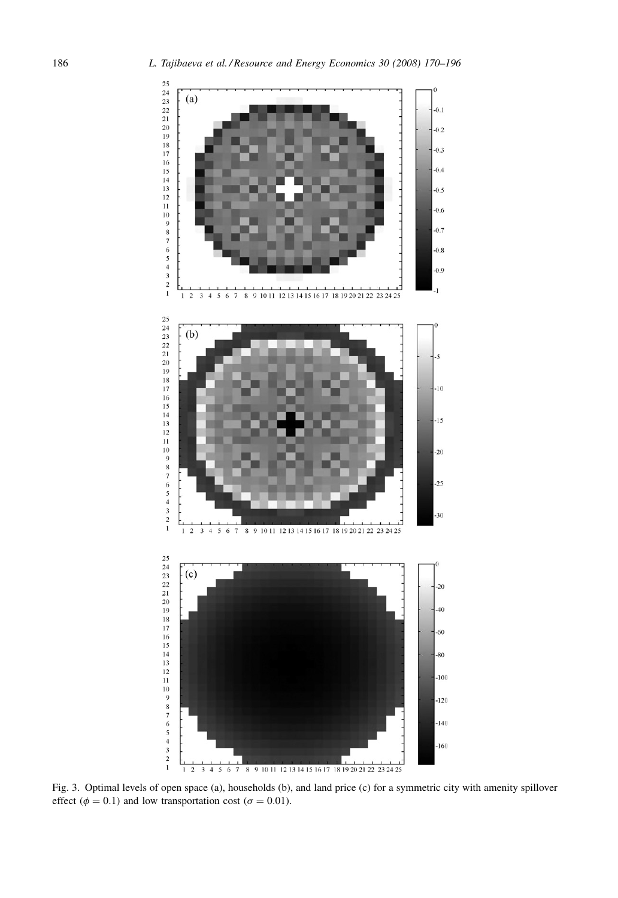<span id="page-16-0"></span>

Fig. 3. Optimal levels of open space (a), households (b), and land price (c) for a symmetric city with amenity spillover effect ( $\phi = 0.1$ ) and low transportation cost ( $\sigma = 0.01$ ).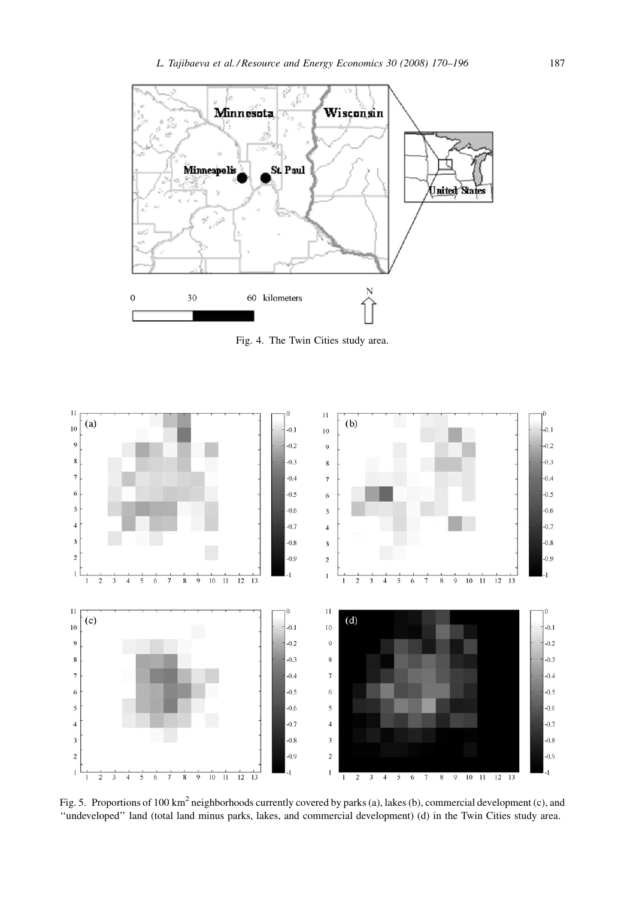<span id="page-17-0"></span>

Fig. 4. The Twin Cities study area.



Fig. 5. Proportions of 100 km<sup>2</sup> neighborhoods currently covered by parks (a), lakes (b), commercial development (c), and ''undeveloped'' land (total land minus parks, lakes, and commercial development) (d) in the Twin Cities study area.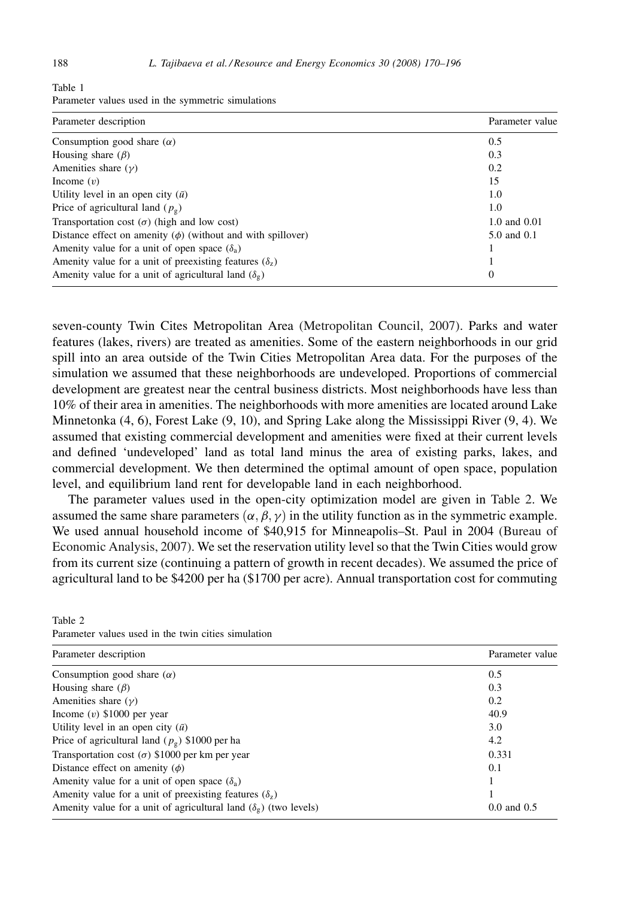<span id="page-18-0"></span>

|        |  | Parameter values used in the symmetric simulations |  |
|--------|--|----------------------------------------------------|--|
| $\sim$ |  |                                                    |  |

| Parameter description                                              | Parameter value |
|--------------------------------------------------------------------|-----------------|
| Consumption good share $(\alpha)$                                  | 0.5             |
| Housing share $(\beta)$                                            | 0.3             |
| Amenities share $(\gamma)$                                         | 0.2             |
| Income $(v)$                                                       | 15              |
| Utility level in an open city $(\bar{u})$                          | 1.0             |
| Price of agricultural land $(p_0)$                                 | 1.0             |
| Transportation cost $(\sigma)$ (high and low cost)                 | 1.0 and 0.01    |
| Distance effect on amenity $(\phi)$ (without and with spillover)   | 5.0 and 0.1     |
| Amenity value for a unit of open space $(\delta_a)$                |                 |
| Amenity value for a unit of preexisting features $(\delta_z)$      |                 |
| Amenity value for a unit of agricultural land $(\delta_{\varphi})$ | 0               |

seven-county Twin Cites Metropolitan Area [\(Metropolitan Council, 2007\)](#page-26-0). Parks and water features (lakes, rivers) are treated as amenities. Some of the eastern neighborhoods in our grid spill into an area outside of the Twin Cities Metropolitan Area data. For the purposes of the simulation we assumed that these neighborhoods are undeveloped. Proportions of commercial development are greatest near the central business districts. Most neighborhoods have less than 10% of their area in amenities. The neighborhoods with more amenities are located around Lake Minnetonka (4, 6), Forest Lake (9, 10), and Spring Lake along the Mississippi River (9, 4). We assumed that existing commercial development and amenities were fixed at their current levels and defined 'undeveloped' land as total land minus the area of existing parks, lakes, and commercial development. We then determined the optimal amount of open space, population level, and equilibrium land rent for developable land in each neighborhood.

The parameter values used in the open-city optimization model are given in Table 2. We assumed the same share parameters  $(\alpha, \beta, \gamma)$  in the utility function as in the symmetric example. We used annual household income of \$40,915 for Minneapolis–St. Paul in 2004 [\(Bureau of](#page-25-0) [Economic Analysis, 2007\).](#page-25-0) We set the reservation utility level so that the Twin Cities would grow from its current size (continuing a pattern of growth in recent decades). We assumed the price of agricultural land to be \$4200 per ha (\$1700 per acre). Annual transportation cost for commuting

| Parameter description                                                           | Parameter value |  |
|---------------------------------------------------------------------------------|-----------------|--|
| Consumption good share $(\alpha)$                                               | 0.5             |  |
| Housing share $(\beta)$                                                         | 0.3             |  |
| Amenities share $(\gamma)$                                                      | 0.2             |  |
| Income $(v)$ \$1000 per year                                                    | 40.9            |  |
| Utility level in an open city $(\bar{u})$                                       | 3.0             |  |
| Price of agricultural land ( $p_g$ ) \$1000 per ha                              | 4.2             |  |
| Transportation cost ( $\sigma$ ) \$1000 per km per year                         | 0.331           |  |
| Distance effect on amenity $(\phi)$                                             | 0.1             |  |
| Amenity value for a unit of open space $(\delta_a)$                             |                 |  |
| Amenity value for a unit of preexisting features $(\delta_z)$                   |                 |  |
| Amenity value for a unit of agricultural land $(\delta_{\varphi})$ (two levels) | $0.0$ and $0.5$ |  |

Table 2 Parameter values used in the twin cities simulation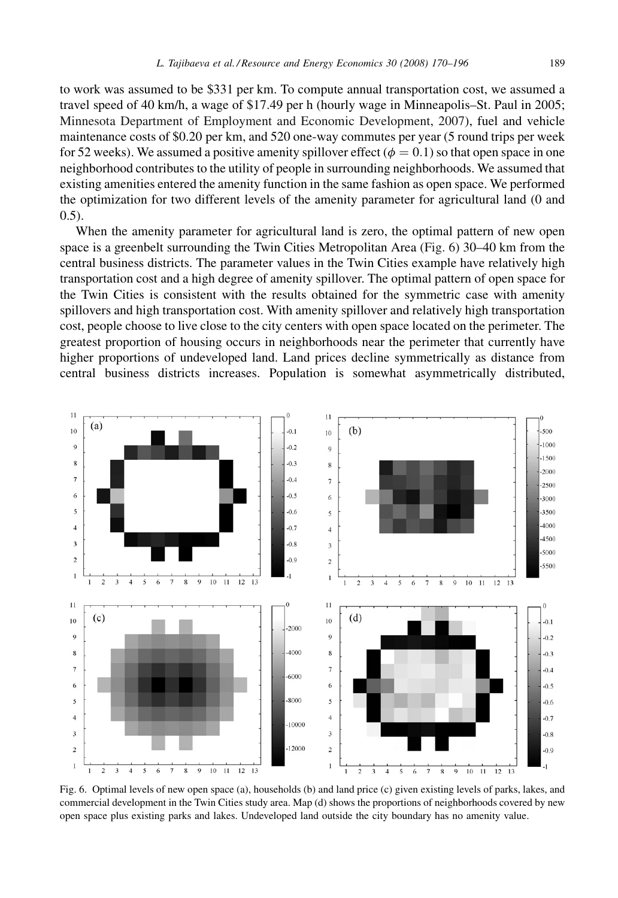to work was assumed to be \$331 per km. To compute annual transportation cost, we assumed a travel speed of 40 km/h, a wage of \$17.49 per h (hourly wage in Minneapolis–St. Paul in 2005; [Minnesota Department of Employment and Economic Development, 2007](#page-26-0)), fuel and vehicle maintenance costs of \$0.20 per km, and 520 one-way commutes per year (5 round trips per week for 52 weeks). We assumed a positive amenity spillover effect ( $\phi = 0.1$ ) so that open space in one neighborhood contributes to the utility of people in surrounding neighborhoods. We assumed that existing amenities entered the amenity function in the same fashion as open space. We performed the optimization for two different levels of the amenity parameter for agricultural land (0 and 0.5).

When the amenity parameter for agricultural land is zero, the optimal pattern of new open space is a greenbelt surrounding the Twin Cities Metropolitan Area (Fig. 6) 30–40 km from the central business districts. The parameter values in the Twin Cities example have relatively high transportation cost and a high degree of amenity spillover. The optimal pattern of open space for the Twin Cities is consistent with the results obtained for the symmetric case with amenity spillovers and high transportation cost. With amenity spillover and relatively high transportation cost, people choose to live close to the city centers with open space located on the perimeter. The greatest proportion of housing occurs in neighborhoods near the perimeter that currently have higher proportions of undeveloped land. Land prices decline symmetrically as distance from central business districts increases. Population is somewhat asymmetrically distributed,



Fig. 6. Optimal levels of new open space (a), households (b) and land price (c) given existing levels of parks, lakes, and commercial development in the Twin Cities study area. Map (d) shows the proportions of neighborhoods covered by new open space plus existing parks and lakes. Undeveloped land outside the city boundary has no amenity value.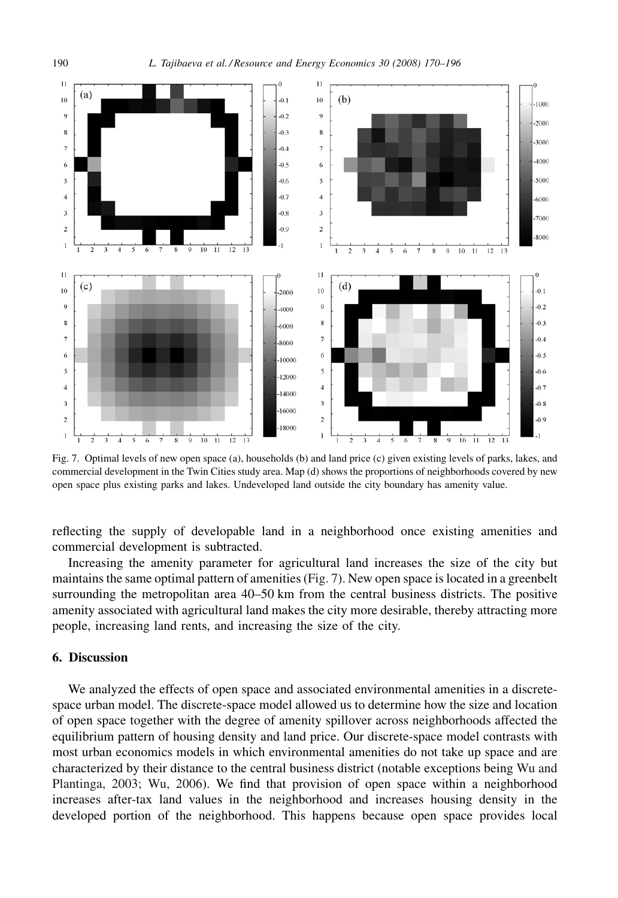

Fig. 7. Optimal levels of new open space (a), households (b) and land price (c) given existing levels of parks, lakes, and commercial development in the Twin Cities study area. Map (d) shows the proportions of neighborhoods covered by new open space plus existing parks and lakes. Undeveloped land outside the city boundary has amenity value.

reflecting the supply of developable land in a neighborhood once existing amenities and commercial development is subtracted.

Increasing the amenity parameter for agricultural land increases the size of the city but maintains the same optimal pattern of amenities (Fig. 7). New open space is located in a greenbelt surrounding the metropolitan area 40–50 km from the central business districts. The positive amenity associated with agricultural land makes the city more desirable, thereby attracting more people, increasing land rents, and increasing the size of the city.

# 6. Discussion

We analyzed the effects of open space and associated environmental amenities in a discretespace urban model. The discrete-space model allowed us to determine how the size and location of open space together with the degree of amenity spillover across neighborhoods affected the equilibrium pattern of housing density and land price. Our discrete-space model contrasts with most urban economics models in which environmental amenities do not take up space and are characterized by their distance to the central business district (notable exceptions being [Wu and](#page-26-0) [Plantinga, 2003; Wu, 2006](#page-26-0)). We find that provision of open space within a neighborhood increases after-tax land values in the neighborhood and increases housing density in the developed portion of the neighborhood. This happens because open space provides local

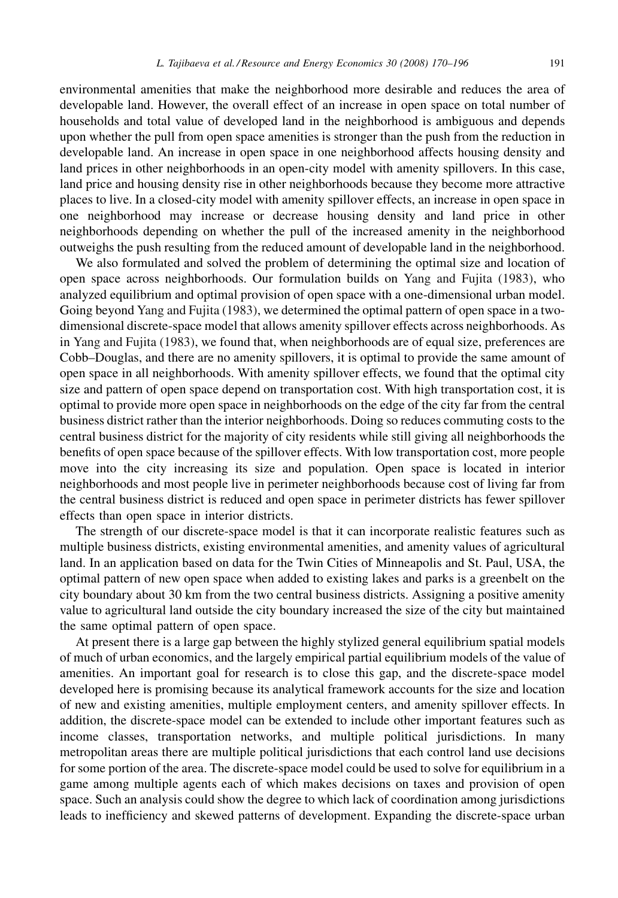environmental amenities that make the neighborhood more desirable and reduces the area of developable land. However, the overall effect of an increase in open space on total number of households and total value of developed land in the neighborhood is ambiguous and depends upon whether the pull from open space amenities is stronger than the push from the reduction in developable land. An increase in open space in one neighborhood affects housing density and land prices in other neighborhoods in an open-city model with amenity spillovers. In this case, land price and housing density rise in other neighborhoods because they become more attractive places to live. In a closed-city model with amenity spillover effects, an increase in open space in one neighborhood may increase or decrease housing density and land price in other neighborhoods depending on whether the pull of the increased amenity in the neighborhood outweighs the push resulting from the reduced amount of developable land in the neighborhood.

We also formulated and solved the problem of determining the optimal size and location of open space across neighborhoods. Our formulation builds on [Yang and Fujita \(1983\),](#page-26-0) who analyzed equilibrium and optimal provision of open space with a one-dimensional urban model. Going beyond [Yang and Fujita \(1983\),](#page-26-0) we determined the optimal pattern of open space in a twodimensional discrete-space model that allows amenity spillover effects across neighborhoods. As in [Yang and Fujita \(1983\),](#page-26-0) we found that, when neighborhoods are of equal size, preferences are Cobb–Douglas, and there are no amenity spillovers, it is optimal to provide the same amount of open space in all neighborhoods. With amenity spillover effects, we found that the optimal city size and pattern of open space depend on transportation cost. With high transportation cost, it is optimal to provide more open space in neighborhoods on the edge of the city far from the central business district rather than the interior neighborhoods. Doing so reduces commuting costs to the central business district for the majority of city residents while still giving all neighborhoods the benefits of open space because of the spillover effects. With low transportation cost, more people move into the city increasing its size and population. Open space is located in interior neighborhoods and most people live in perimeter neighborhoods because cost of living far from the central business district is reduced and open space in perimeter districts has fewer spillover effects than open space in interior districts.

The strength of our discrete-space model is that it can incorporate realistic features such as multiple business districts, existing environmental amenities, and amenity values of agricultural land. In an application based on data for the Twin Cities of Minneapolis and St. Paul, USA, the optimal pattern of new open space when added to existing lakes and parks is a greenbelt on the city boundary about 30 km from the two central business districts. Assigning a positive amenity value to agricultural land outside the city boundary increased the size of the city but maintained the same optimal pattern of open space.

At present there is a large gap between the highly stylized general equilibrium spatial models of much of urban economics, and the largely empirical partial equilibrium models of the value of amenities. An important goal for research is to close this gap, and the discrete-space model developed here is promising because its analytical framework accounts for the size and location of new and existing amenities, multiple employment centers, and amenity spillover effects. In addition, the discrete-space model can be extended to include other important features such as income classes, transportation networks, and multiple political jurisdictions. In many metropolitan areas there are multiple political jurisdictions that each control land use decisions for some portion of the area. The discrete-space model could be used to solve for equilibrium in a game among multiple agents each of which makes decisions on taxes and provision of open space. Such an analysis could show the degree to which lack of coordination among jurisdictions leads to inefficiency and skewed patterns of development. Expanding the discrete-space urban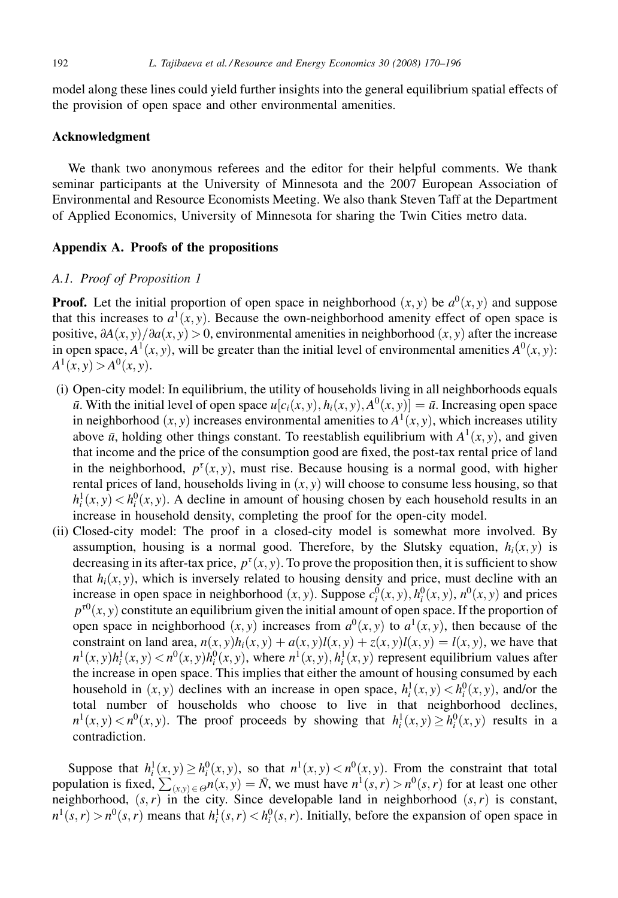<span id="page-22-0"></span>model along these lines could yield further insights into the general equilibrium spatial effects of the provision of open space and other environmental amenities.

# Acknowledgment

We thank two anonymous referees and the editor for their helpful comments. We thank seminar participants at the University of Minnesota and the 2007 European Association of Environmental and Resource Economists Meeting. We also thank Steven Taff at the Department of Applied Economics, University of Minnesota for sharing the Twin Cities metro data.

#### Appendix A. Proofs of the propositions

## A.1. Proof of [Proposition 1](#page-6-0)

**Proof.** Let the initial proportion of open space in neighborhood  $(x, y)$  be  $a^0(x, y)$  and suppose that this increases to  $a^1(x, y)$ . Because the own-neighborhood amenity effect of open space is positive,  $\partial A(x, y) / \partial a(x, y) > 0$ , environmental amenities in neighborhood  $(x, y)$  after the increase in open space,  $A^1(x, y)$ , will be greater than the initial level of environmental amenities  $A^0(x, y)$ :  $A^{1}(x, y) > A^{0}(x, y)$ .

- (i) Open-city model: In equilibrium, the utility of households living in all neighborhoods equals  $\bar{u}$ . With the initial level of open space  $u[c_i(x, y), h_i(x, y), A^0(x, y)] = \bar{u}$ . Increasing open space in neighborhood  $(x, y)$  increases environmental amenities to  $A^1(x, y)$ , which increases utility above  $\bar{u}$ , holding other things constant. To reestablish equilibrium with  $A^1(x, y)$ , and given that income and the price of the consumption good are fixed, the post-tax rental price of land in the neighborhood,  $p^{\tau}(x, y)$ , must rise. Because housing is a normal good, with higher rental prices of land, households living in  $(x, y)$  will choose to consume less housing, so that  $h_i^1(x, y) < h_i^0(x, y)$ . A decline in amount of housing chosen by each household results in an increase in household density, completing the proof for the open-city model.
- (ii) Closed-city model: The proof in a closed-city model is somewhat more involved. By assumption, housing is a normal good. Therefore, by the Slutsky equation,  $h_i(x, y)$  is decreasing in its after-tax price,  $p^{\tau}(x, y)$ . To prove the proposition then, it is sufficient to show that  $h_i(x, y)$ , which is inversely related to housing density and price, must decline with an increase in open space in neighborhood  $(x, y)$ . Suppose  $c_i^0(x, y)$ ,  $h_i^0(x, y)$ ,  $n^0(x, y)$  and prices  $p^{r0}(x, y)$  constitute an equilibrium given the initial amount of open space. If the proportion of open space in neighborhood  $(x, y)$  increases from  $a^0(x, y)$  to  $a^1(x, y)$ , then because of the constraint on land area,  $n(x, y)h_i(x, y) + a(x, y)l(x, y) + z(x, y)l(x, y) = l(x, y)$ , we have that  $n^1(x, y)h^1_i(x, y) < n^0(x, y)h^0_i(x, y)$ , where  $n^1(x, y), h^1_i(x, y)$  represent equilibrium values after the increase in open space. This implies that either the amount of housing consumed by each household in  $(x, y)$  declines with an increase in open space,  $h_i^1(x, y) < h_i^0(x, y)$ , and/or the total number of households who choose to live in that neighborhood declines,  $n^1(x, y) < n^0(x, y)$ . The proof proceeds by showing that  $h_i^1(x, y) \ge h_i^0(x, y)$  results in a contradiction.

Suppose that  $h_i^1(x, y) \ge h_i^0(x, y)$ , so that  $n^1(x, y) < n^0(x, y)$ . From the constraint that total population is fixed,  $\sum_{(x,y)\in\Theta} n(x, y) = \overline{N}$ , we must have  $n^1(s, r) > n^0(s, r)$  for at least one other neighborhood,  $(s, r)$  in the city. Since developable land in neighborhood  $(s, r)$  is constant,  $n^1(s, r) > n^0(s, r)$  means that  $h_i^1(s, r) < h_i^0(s, r)$ . Initially, before the expansion of open space in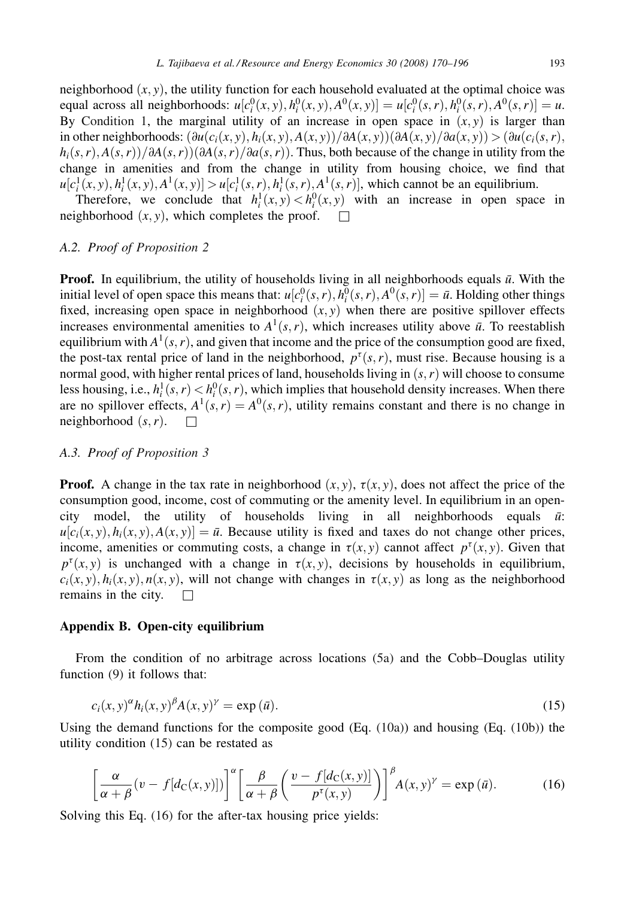<span id="page-23-0"></span>neighborhood  $(x, y)$ , the utility function for each household evaluated at the optimal choice was equal across all neighborhoods:  $u[c_i^0(x, y), h_i^0(x, y), A^0(x, y)] = u[c_i^0(s, r), h_i^0(s, r), A^0(s, r)] = u$ . By [Condition 1](#page-6-0), the marginal utility of an increase in open space in  $(x, y)$  is larger than in other neighborhoods:  $\left(\frac{\partial u(c_i(x, y), h_i(x, y), A(x, y))}{\partial A(x, y)}\right)$  $\left(\frac{\partial A(x, y)}{\partial a(x, y)}\right)$   $\geq \left(\frac{\partial u(c_i(x, r), h_i(x, y), A(x, y))}{\partial a(x, y)}\right)$  $h_i(s, r), A(s, r)/\partial A(s, r)/\partial A(s, r)/\partial a(s, r)$ . Thus, both because of the change in utility from the change in amenities and from the change in utility from housing choice, we find that  $u[c_i^1(x, y), h_i^1(x, y), A^1(x, y)] > u[c_i^1(s, r), h_i^1(s, r), A^1(s, r)]$ , which cannot be an equilibrium.

Therefore, we conclude that  $h_i^1(x, y) < h_i^0(x, y)$  with an increase in open space in neighborhood  $(x, y)$ , which completes the proof.  $\Box$ 

## A.2. Proof of [Proposition 2](#page-7-0)

**Proof.** In equilibrium, the utility of households living in all neighborhoods equals  $\bar{u}$ . With the initial level of open space this means that:  $u[c_i^0(s, r), h_i^0(s, r), A^0(s, r)] = \bar{u}$ . Holding other things fixed, increasing open space in neighborhood  $(x, y)$  when there are positive spillover effects increases environmental amenities to  $A^1(s, r)$ , which increases utility above  $\bar{u}$ . To reestablish equilibrium with  $A^1(s, r)$ , and given that income and the price of the consumption good are fixed, the post-tax rental price of land in the neighborhood,  $p^{\tau}(s, r)$ , must rise. Because housing is a normal good, with higher rental prices of land, households living in  $(s, r)$  will choose to consume less housing, i.e.,  $h_i^1(s, r) < h_i^0(s, r)$ , which implies that household density increases. When there are no spillover effects,  $A^1(s, r) = A^0(s, r)$ , utility remains constant and there is no change in neighborhood  $(s, r)$ . neighborhood  $(s, r)$ .

# A.3. Proof of [Proposition 3](#page-7-0)

**Proof.** A change in the tax rate in neighborhood  $(x, y)$ ,  $\tau(x, y)$ , does not affect the price of the consumption good, income, cost of commuting or the amenity level. In equilibrium in an opencity model, the utility of households living in all neighborhoods equals  $\bar{u}$ :  $u[c_i(x, y), h_i(x, y), A(x, y)] = \bar{u}$ . Because utility is fixed and taxes do not change other prices, income, amenities or commuting costs, a change in  $\tau(x, y)$  cannot affect  $p^{\tau}(x, y)$ . Given that  $p^{\tau}(x, y)$  is unchanged with a change in  $\tau(x, y)$ , decisions by households in equilibrium,  $c_i(x, y), h_i(x, y), n(x, y)$ , will not change with changes in  $\tau(x, y)$  as long as the neighborhood remains in the city. remains in the city.

## Appendix B. Open-city equilibrium

From the condition of no arbitrage across locations [\(5a\)](#page-5-0) and the Cobb–Douglas utility function [\(9\)](#page-8-0) it follows that:

$$
c_i(x, y)^{\alpha} h_i(x, y)^{\beta} A(x, y)^{\gamma} = \exp(\bar{u}).
$$
\n(15)

Using the demand functions for the composite good  $(Eq. (10a))$  $(Eq. (10a))$  $(Eq. (10a))$  and housing  $(Eq. (10b))$  $(Eq. (10b))$  the utility condition (15) can be restated as

$$
\left[\frac{\alpha}{\alpha+\beta}(v-f[d_{\mathcal{C}}(x,y)])\right]^{\alpha}\left[\frac{\beta}{\alpha+\beta}\left(\frac{v-f[d_{\mathcal{C}}(x,y)]}{p^{\tau}(x,y)}\right)\right]^{\beta}A(x,y)^{\gamma}=\exp\left(\bar{u}\right).
$$
 (16)

Solving this Eq. (16) for the after-tax housing price yields: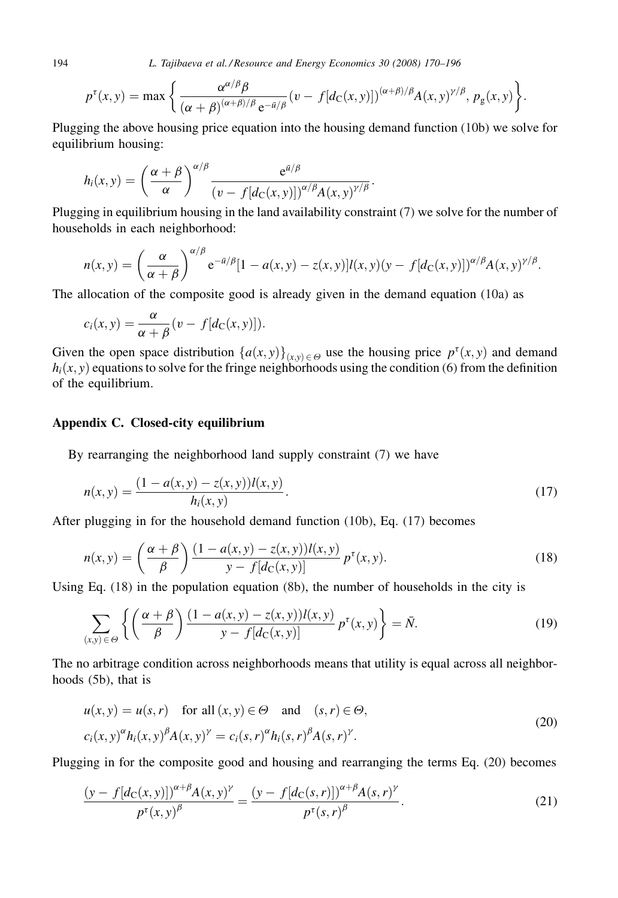<span id="page-24-0"></span>194 L. Tajibaeva et al. / Resource and Energy Economics 30 (2008) 170–196

$$
p^{\tau}(x,y) = \max \left\{ \frac{\alpha^{\alpha/\beta}\beta}{(\alpha+\beta)^{(\alpha+\beta)/\beta}e^{-\bar{a}/\beta}} (v-f[d_{\mathcal{C}}(x,y)])^{(\alpha+\beta)/\beta} A(x,y)^{\gamma/\beta}, p_{g}(x,y) \right\}.
$$

Plugging the above housing price equation into the housing demand function [\(10b\)](#page-8-0) we solve for equilibrium housing:

$$
h_i(x,y) = \left(\frac{\alpha+\beta}{\alpha}\right)^{\alpha/\beta} \frac{e^{\bar{a}/\beta}}{\left(v-f[d_{\rm C}(x,y)]\right)^{\alpha/\beta} A(x,y)^{\gamma/\beta}}.
$$

Plugging in equilibrium housing in the land availability constraint [\(7\)](#page-6-0) we solve for the number of households in each neighborhood:

$$
n(x,y) = \left(\frac{\alpha}{\alpha+\beta}\right)^{\alpha/\beta} e^{-\bar{a}/\beta} [1-a(x,y)-z(x,y)]l(x,y)(y-f[d_{\mathcal{C}}(x,y)])^{\alpha/\beta} A(x,y)^{\gamma/\beta}.
$$

The allocation of the composite good is already given in the demand equation [\(10a\)](#page-8-0) as

$$
c_i(x, y) = \frac{\alpha}{\alpha + \beta} (v - f[d_C(x, y)]).
$$

Given the open space distribution  $\{a(x, y)\}_{(x,y)\in\Theta}$  use the housing price  $p^{\tau}(x, y)$  and demand  $h_i(x, y)$  equations to solve for the fringe neighborhoods using the condition [\(6\)](#page-6-0) from the definition of the equilibrium.

# Appendix C. Closed-city equilibrium

By rearranging the neighborhood land supply constraint [\(7\)](#page-6-0) we have

$$
n(x, y) = \frac{(1 - a(x, y) - z(x, y))l(x, y)}{h_i(x, y)}.
$$
\n(17)

After plugging in for the household demand function [\(10b\)](#page-8-0), Eq. (17) becomes

$$
n(x, y) = \left(\frac{\alpha + \beta}{\beta}\right) \frac{(1 - a(x, y) - z(x, y))l(x, y)}{y - f[d_{\mathcal{C}}(x, y)]} p^{t}(x, y).
$$
 (18)

Using Eq. (18) in the population equation [\(8b\)](#page-6-0), the number of households in the city is

$$
\sum_{(x,y)\in\Theta}\left\{\left(\frac{\alpha+\beta}{\beta}\right)\frac{(1-a(x,y)-z(x,y))l(x,y)}{y-f[d_{\mathcal{C}}(x,y)]}p^{\tau}(x,y)\right\}=\bar{N}.
$$
\n(19)

The no arbitrage condition across neighborhoods means that utility is equal across all neighborhoods [\(5b\)](#page-6-0), that is

$$
u(x, y) = u(s, r) \quad \text{for all } (x, y) \in \Theta \quad \text{and} \quad (s, r) \in \Theta,
$$
  

$$
c_i(x, y)^{\alpha} h_i(x, y)^{\beta} A(x, y)^{\gamma} = c_i(s, r)^{\alpha} h_i(s, r)^{\beta} A(s, r)^{\gamma}.
$$
 (20)

Plugging in for the composite good and housing and rearranging the terms Eq. (20) becomes

$$
\frac{(y - f[d_{\mathcal{C}}(x, y)])^{\alpha + \beta} A(x, y)^{\gamma}}{p^{\tau}(x, y)^{\beta}} = \frac{(y - f[d_{\mathcal{C}}(s, r)])^{\alpha + \beta} A(s, r)^{\gamma}}{p^{\tau}(s, r)^{\beta}}.
$$
\n(21)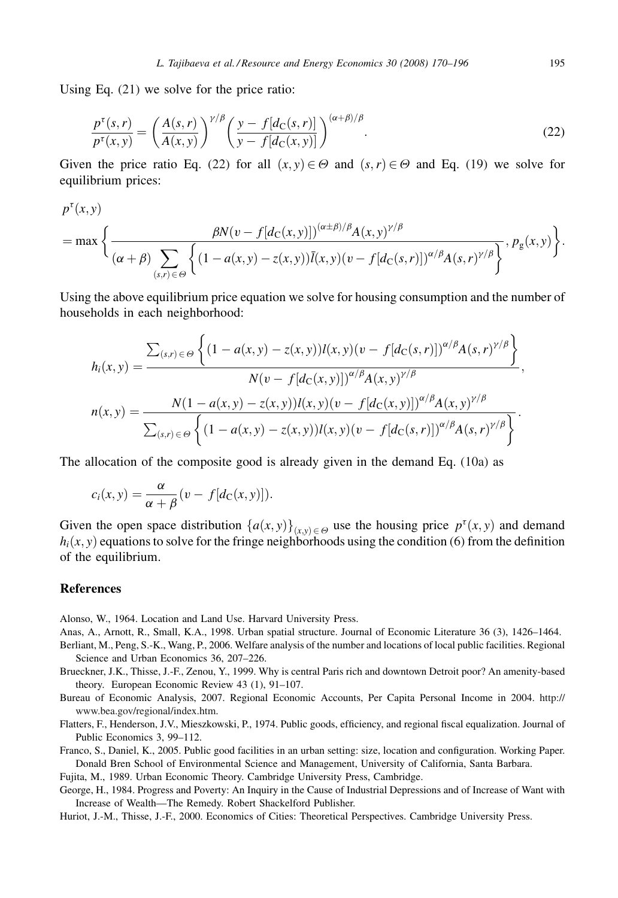<span id="page-25-0"></span>Using Eq. [\(21\)](#page-24-0) we solve for the price ratio:

$$
\frac{p^{\tau}(s,r)}{p^{\tau}(x,y)} = \left(\frac{A(s,r)}{A(x,y)}\right)^{\gamma/\beta} \left(\frac{y-f[d_{\mathcal{C}}(s,r)]}{y-f[d_{\mathcal{C}}(x,y)]}\right)^{(\alpha+\beta)/\beta}.
$$
\n(22)

Given the price ratio Eq. (22) for all  $(x, y) \in \Theta$  and  $(s, r) \in \Theta$  and Eq. [\(19\)](#page-24-0) we solve for equilibrium prices:

$$
p^{\tau}(x,y)
$$
  
= max  $\left\{\frac{\beta N(v - f[d_{C}(x,y)])^{(\alpha+\beta)/\beta}A(x,y)^{\gamma/\beta}}{(\alpha+\beta)\sum_{(s,r)\in\Theta}\left\{(1-a(x,y)-z(x,y))\overline{l}(x,y)(v-f[d_{C}(s,r)])^{\alpha/\beta}A(s,r)^{\gamma/\beta}\right\}}, p_{g}(x,y)\right\}.$ 

Using the above equilibrium price equation we solve for housing consumption and the number of households in each neighborhood:

$$
h_i(x, y) = \frac{\sum_{(s,r) \in \Theta} \left\{ (1 - a(x, y) - z(x, y)) l(x, y) (v - f[d_C(s, r)])^{\alpha/\beta} A(s, r)^{\gamma/\beta} \right\}}{N(v - f[d_C(x, y)])^{\alpha/\beta} A(x, y)^{\gamma/\beta}},
$$

$$
n(x, y) = \frac{N(1 - a(x, y) - z(x, y)) l(x, y) (v - f[d_C(x, y)])^{\alpha/\beta} A(x, y)^{\gamma/\beta}}{\sum_{(s,r) \in \Theta} \left\{ (1 - a(x, y) - z(x, y)) l(x, y) (v - f[d_C(s, r)])^{\alpha/\beta} A(s, r)^{\gamma/\beta} \right\}}.
$$

The allocation of the composite good is already given in the demand Eq. [\(10a\)](#page-8-0) as

$$
c_i(x,y) = \frac{\alpha}{\alpha + \beta}(v - f[d_C(x,y)]).
$$

Given the open space distribution  $\{a(x, y)\}_{(x,y)\in\Theta}$  use the housing price  $p^{\tau}(x, y)$  and demand  $h_i(x, y)$  equations to solve for the fringe neighborhoods using the condition [\(6\)](#page-6-0) from the definition of the equilibrium.

## References

 $\sim$ 

Alonso, W., 1964. Location and Land Use. Harvard University Press.

Anas, A., Arnott, R., Small, K.A., 1998. Urban spatial structure. Journal of Economic Literature 36 (3), 1426–1464.

Berliant, M., Peng, S.-K., Wang, P., 2006. Welfare analysis of the number and locations of local public facilities. Regional Science and Urban Economics 36, 207–226.

Brueckner, J.K., Thisse, J.-F., Zenou, Y., 1999. Why is central Paris rich and downtown Detroit poor? An amenity-based theory. European Economic Review 43 (1), 91–107.

Bureau of Economic Analysis, 2007. Regional Economic Accounts, Per Capita Personal Income in 2004. [http://](http://www.bea.gov/regional/index.htm) [www.bea.gov/regional/index.htm](http://www.bea.gov/regional/index.htm).

Flatters, F., Henderson, J.V., Mieszkowski, P., 1974. Public goods, efficiency, and regional fiscal equalization. Journal of Public Economics 3, 99–112.

Franco, S., Daniel, K., 2005. Public good facilities in an urban setting: size, location and configuration. Working Paper. Donald Bren School of Environmental Science and Management, University of California, Santa Barbara.

Fujita, M., 1989. Urban Economic Theory. Cambridge University Press, Cambridge.

George, H., 1984. Progress and Poverty: An Inquiry in the Cause of Industrial Depressions and of Increase of Want with Increase of Wealth—The Remedy. Robert Shackelford Publisher.

Huriot, J.-M., Thisse, J.-F., 2000. Economics of Cities: Theoretical Perspectives. Cambridge University Press.